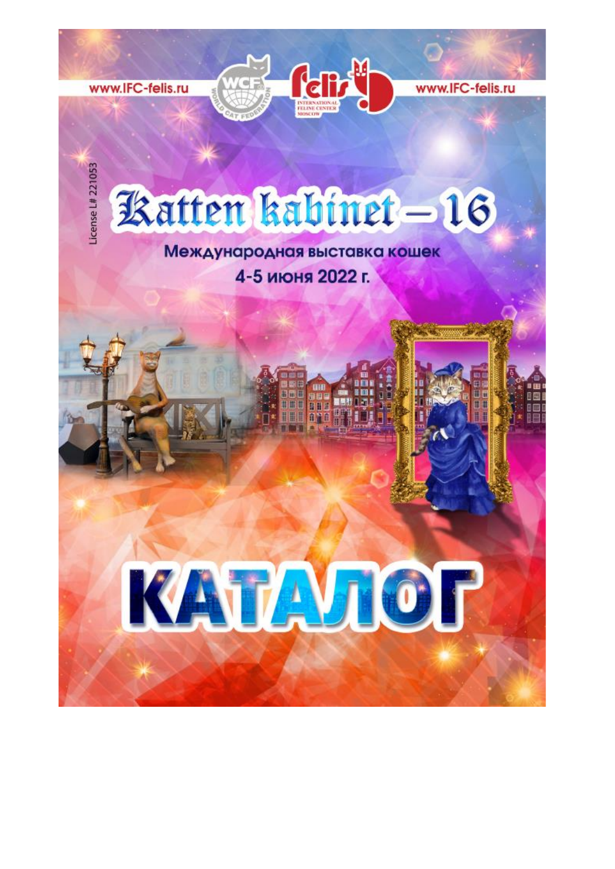



www.IFC-felis.ru

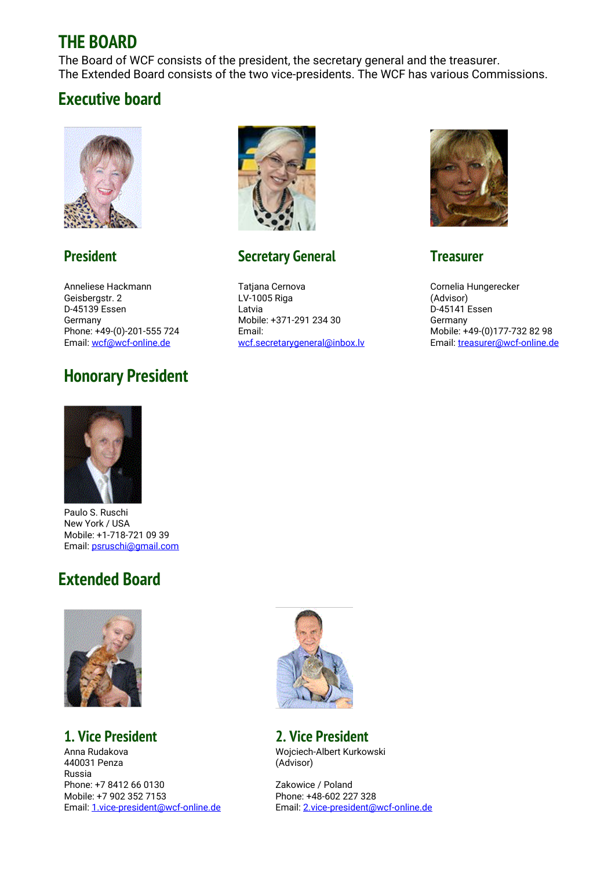### **THE BOARD**

The Board of WCF consists of the president, the secretary general and the treasurer. The Extended Board consists of the two vice-presidents. The WCF has various Commissions.

### **Executive board**

![](_page_1_Picture_3.jpeg)

### **President**

Anneliese Hackmann Geisbergstr. 2 D-45139 Essen Germany Phone: +49-(0)-201-555 724 Email: [wcf@wcf-online.de](mailto:)

## **Honorary President**

![](_page_1_Picture_7.jpeg)

### **Secretary General**

Tatjana Cernova LV-1005 Riga Latvia Mobile: +371-291 234 30 Email: [wcf.secretarygeneral@inbox.lv](mailto:wcf.secretarygeneral@inbox.lv)

![](_page_1_Picture_10.jpeg)

### **Treasurer**

Cornelia Hungerecker (Advisor) D-45141 Essen Germany Mobile: +49-(0)177-732 82 98 Email: [treasurer@wcf-online.de](mailto:treasurer@wcf-online.de)

![](_page_1_Picture_13.jpeg)

Paulo S. Ruschi New York / USA Mobile: +1-718-721 09 39 Email: [psruschi@gmail.com](mailto:psruschi@gmail.com)

## **Extended Board**

![](_page_1_Picture_16.jpeg)

### **1. Vice President**

Anna Rudakova 440031 Penza Russia Phone: +7 8412 66 0130 Mobile: +7 902 352 7153 Email: [1.vice-president@wcf-online.de](mailto:1.vice-president@wcf-online.de)

![](_page_1_Picture_19.jpeg)

### **2. Vice President**

Wojciech-Albert Kurkowski (Advisor)

Zakowice / Poland Phone: +48-602 227 328 Email: [2.vice-president@wcf-online.de](mailto:2.vice-president@wcf-online.de)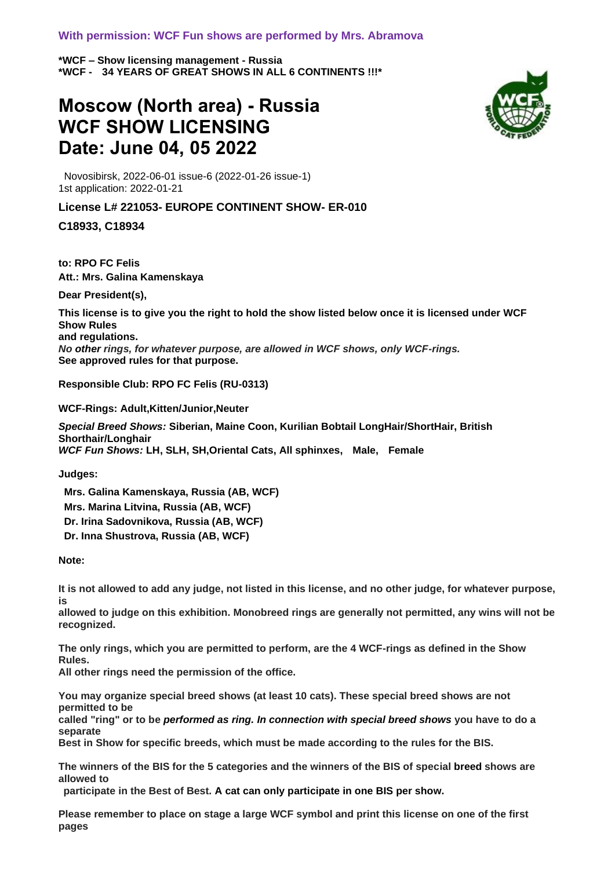#### **With permission: WCF Fun shows are performed by Mrs. Abramova**

**\*WCF – Show licensing management - Russia \*WCF - 34 YEARS OF GREAT SHOWS IN ALL 6 CONTINENTS !!!\*** 

## **Moscow (North area) - Russia WCF SHOW LICENSING Date: June 04, 05 2022**

![](_page_2_Picture_3.jpeg)

Novosibirsk, 2022-06-01 issue-6 (2022-01-26 issue-1) 1st application: 2022-01-21

#### **License L# 221053- EUROPE CONTINENT SHOW- ER-010**

**C18933, C18934**

**to: RPO FC Felis Att.: Mrs. Galina Kamenskaya**

**Dear President(s),**

**This license is to give you the right to hold the show listed below once it is licensed under WCF Show Rules and regulations.** *No other rings, for whatever purpose, are allowed in WCF shows, only WCF-rings.* **See approved rules for that purpose.**

**Responsible Club: RPO FC Felis (RU-0313)**

**WCF-Rings: Adult,Kitten/Junior,Neuter**

*Special Breed Shows:* **Siberian, Maine Coon, Kurilian Bobtail LongHair/ShortHair, British Shorthair/Longhair** *WCF Fun Shows:* **LH, SLH, SH,Oriental Cats, All sphinxes, Male, Female**

**Judges:**

**Mrs. Galina Kamenskaya, Russia (AB, WCF) Mrs. Marina Litvina, Russia (AB, WCF) Dr. Irina Sadovnikova, Russia (AB, WCF) Dr. Inna Shustrova, Russia (AB, WCF)**

**Note:** 

**It is not allowed to add any judge, not listed in this license, and no other judge, for whatever purpose, is** 

**allowed to judge on this exhibition. Monobreed rings are generally not permitted, any wins will not be recognized.**

**The only rings, which you are permitted to perform, are the 4 WCF-rings as defined in the Show Rules.** 

**All other rings need the permission of the office.**

**You may organize special breed shows (at least 10 cats). These special breed shows are not permitted to be** 

**called "ring" or to be** *performed as ring. In connection with special breed shows* **you have to do a separate** 

**Best in Show for specific breeds, which must be made according to the rules for the BIS.**

**The winners of the BIS for the 5 categories and the winners of the BIS of special breed shows are allowed to**

**participate in the Best of Best. A cat can only participate in one BIS per show.**

**Please remember to place on stage a large WCF symbol and print this license on one of the first pages**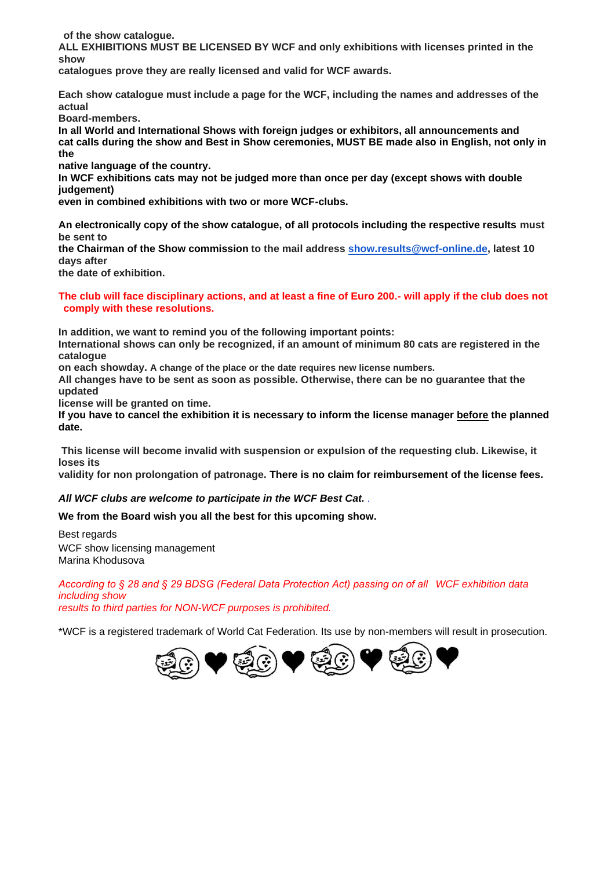**of the show catalogue.**

**ALL EXHIBITIONS MUST BE LICENSED BY WCF and only exhibitions with licenses printed in the show** 

**catalogues prove they are really licensed and valid for WCF awards.**

**Each show catalogue must include a page for the WCF, including the names and addresses of the actual** 

**Board-members.**

**In all World and International Shows with foreign judges or exhibitors, all announcements and cat calls during the show and Best in Show ceremonies, MUST BE made also in English, not only in the**

**native language of the country.** 

**In WCF exhibitions cats may not be judged more than once per day (except shows with double judgement)** 

**even in combined exhibitions with two or more WCF-clubs.**

**An electronically copy of the show catalogue, of all protocols including the respective results must be sent to** 

**the Chairman of the Show commission to the mail address [show.results@wcf-online.de,](mailto:show.results@wcf-online.de) latest 10 days after** 

**the date of exhibition.**

#### **The club will face disciplinary actions, and at least a fine of Euro 200.- will apply if the club does not comply with these resolutions.**

**In addition, we want to remind you of the following important points:**

**International shows can only be recognized, if an amount of minimum 80 cats are registered in the catalogue** 

**on each showday. A change of the place or the date requires new license numbers.**

**All changes have to be sent as soon as possible. Otherwise, there can be no guarantee that the updated** 

**license will be granted on time.**

**If you have to cancel the exhibition it is necessary to inform the license manager before the planned date.**

**This license will become invalid with suspension or expulsion of the requesting club. Likewise, it loses its** 

**validity for non prolongation of patronage. There is no claim for reimbursement of the license fees.**

#### *All WCF clubs are welcome to participate in the WCF Best Cat. .*

**We from the Board wish you all the best for this upcoming show.**

Best regards WCF show licensing management Marina Khodusova

*According to § 28 and § 29 BDSG (Federal Data Protection Act) passing on of all WCF exhibition data including show results to third parties for NON-WCF purposes is prohibited.*

\*WCF is a registered trademark of World Cat Federation. Its use by non-members will result in prosecution.

![](_page_3_Picture_26.jpeg)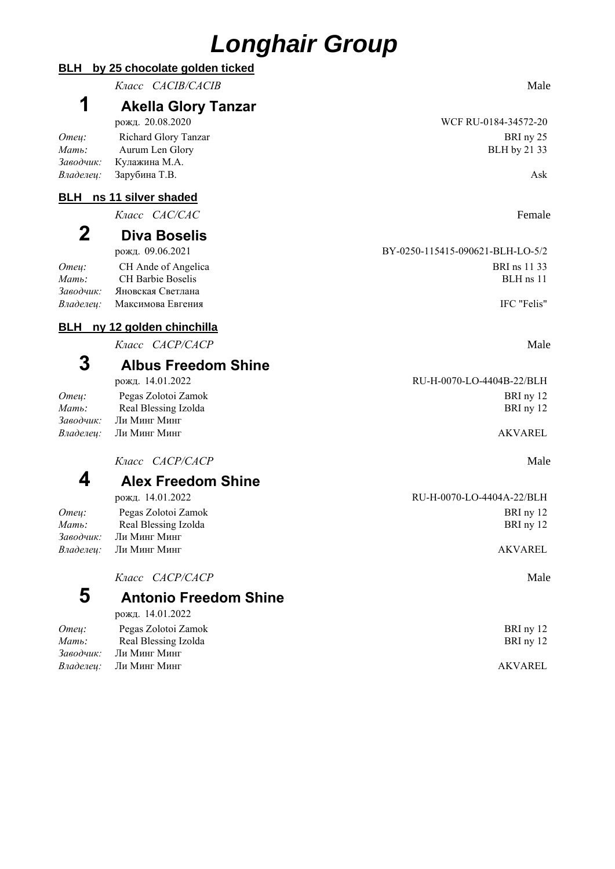# *Longhair Group*

|                             | Класс САСІВ/САСІВ                                                    | Male                             |
|-----------------------------|----------------------------------------------------------------------|----------------------------------|
| 1                           | <b>Akella Glory Tanzar</b><br>рожд. 20.08.2020                       | WCF RU-0184-34572-20             |
| Отец:<br>Мать:              | Richard Glory Tanzar<br>Aurum Len Glory                              | BRI ny 25<br>BLH by 21 33        |
| Заводчик:<br>Владелец:      | Кулажина М.А.<br>Зарубина Т.В.                                       | Ask                              |
|                             | <b>BLH</b> ns 11 silver shaded                                       |                                  |
|                             | Knacc CAC/CAC                                                        | Female                           |
| $\mathbf 2$                 | <b>Diva Boselis</b>                                                  |                                  |
|                             | рожд. 09.06.2021                                                     | BY-0250-115415-090621-BLH-LO-5/2 |
| Отец:<br>Мать:<br>Заводчик: | CH Ande of Angelica<br><b>CH Barbie Boselis</b><br>Яновская Светлана | BRI ns 11 33<br>$BLH$ ns $11$    |
| Владелец:                   | Максимова Евгения                                                    | IFC "Felis"                      |
| <u>BLH</u>                  | ny 12 golden chinchilla                                              |                                  |
|                             | Класс САСР/САСР                                                      | Male                             |
| 3                           | <b>Albus Freedom Shine</b>                                           |                                  |
|                             | рожд. 14.01.2022                                                     | RU-H-0070-LO-4404B-22/BLH        |
| Omeu:<br>Мать:              | Pegas Zolotoi Zamok<br>Real Blessing Izolda                          | BRI ny 12<br>BRI ny 12           |
| Заводчик:<br>Владелец:      | Ли Минг Минг<br>Ли Минг Минг                                         | <b>AKVAREL</b>                   |
|                             | Класс <i>САСР/САСР</i>                                               | Male                             |
| 4                           | <b>Alex Freedom Shine</b>                                            |                                  |
|                             | рожд. 14.01.2022                                                     | RU-H-0070-LO-4404A-22/BLH        |
| Отец:<br>Мать:              | Pegas Zolotoi Zamok<br>Real Blessing Izolda                          | BRI ny 12<br>BRI ny 12           |
| Заводчик:                   | Ли Минг Минг                                                         |                                  |
| Владелец:                   | Ли Минг Минг                                                         | <b>AKVAREL</b>                   |
|                             | Класс <i>САСР/САСР</i>                                               | Male                             |
| 5                           | <b>Antonio Freedom Shine</b>                                         |                                  |

рожд. 14.01.2022 *Отец:* Pegas Zolotoi Zamok BRI ny 12 *Mamb*: Real Blessing Izolda BRI ny 12

**BLH by 25 chocolate golden ticked**

*Заводчик:* Ли Минг Минг *Владелец:* Ли Минг Минг AKVAREL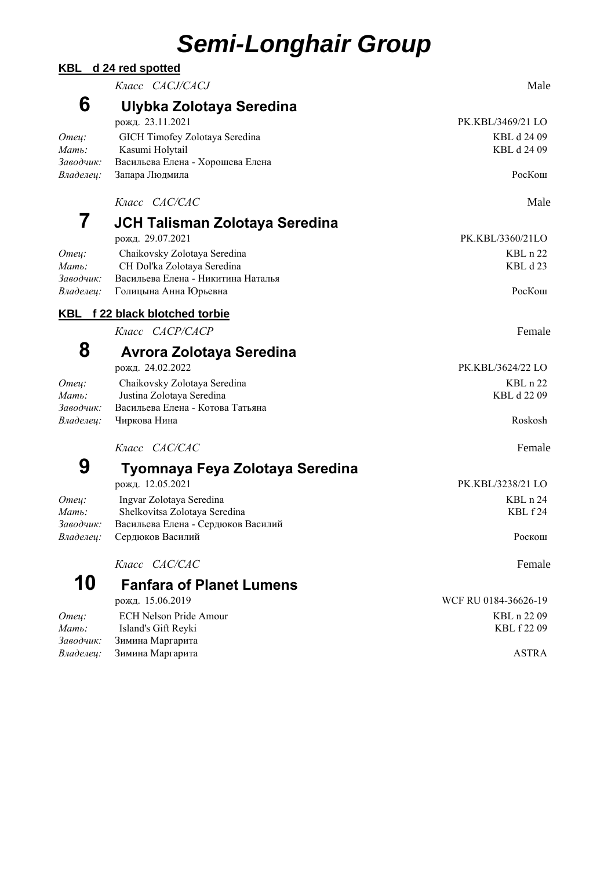# *Semi-Longhair Group*

| <b>KBL</b>                  | d 24 red spotted                                                                                  |                            |
|-----------------------------|---------------------------------------------------------------------------------------------------|----------------------------|
|                             | Knacc CACJ/CACJ                                                                                   | Male                       |
| 6                           | Ulybka Zolotaya Seredina<br>рожд. 23.11.2021                                                      | PK.KBL/3469/21 LO          |
| Omey:<br>Мать:<br>Заводчик: | GICH Timofey Zolotaya Seredina<br>Kasumi Holytail<br>Васильева Елена - Хорошева Елена             | KBL d 24 09<br>KBL d 24 09 |
| Владелец:                   | Запара Людмила                                                                                    | РосКош                     |
|                             | Класс САС/САС                                                                                     | Male                       |
| 7                           | JCH Talisman Zolotaya Seredina                                                                    |                            |
|                             | рожд. 29.07.2021                                                                                  | PK.KBL/3360/21LO           |
| Отец:<br>Мать:<br>Заводчик: | Chaikovsky Zolotaya Seredina<br>CH Dol'ka Zolotaya Seredina<br>Васильева Елена - Никитина Наталья | KBL n 22<br>KBL d 23       |
| Владелец:                   | Голицына Анна Юрьевна                                                                             | РосКош                     |
|                             | KBL f 22 black blotched torbie                                                                    |                            |
|                             | Класс САСР/САСР                                                                                   | Female                     |
| 8                           | <b>Avrora Zolotaya Seredina</b>                                                                   |                            |
|                             | рожд. 24.02.2022                                                                                  | PK.KBL/3624/22 LO          |
| Отец:<br>Мать:<br>Заводчик: | Chaikovsky Zolotaya Seredina<br>Justina Zolotaya Seredina<br>Васильева Елена - Котова Татьяна     | KBL n 22<br>KBL d 22 09    |
| Владелец:                   | Чиркова Нина                                                                                      | Roskosh                    |
|                             | Класс САС/САС                                                                                     | Female                     |
| 9                           | Tyomnaya Feya Zolotaya Seredina                                                                   |                            |
|                             | рожд. 12.05.2021                                                                                  | PK.KBL/3238/21 LO          |
| Omey:                       | Ingvar Zolotaya Seredina                                                                          | KBL n 24                   |
| Мать:                       | Shelkovitsa Zolotaya Seredina                                                                     | KBL f24                    |
| Заводчик:<br>Владелец:      | Васильева Елена - Сердюков Василий<br>Сердюков Василий                                            | Роскош                     |
|                             | Класс САС/САС                                                                                     | Female                     |
| 10                          | <b>Fanfara of Planet Lumens</b>                                                                   |                            |
|                             | рожд. 15.06.2019                                                                                  | WCF RU 0184-36626-19       |
| Отец:                       | <b>ECH Nelson Pride Amour</b>                                                                     | KBL n 22 09                |
| Мать:<br>Заводчик:          | Island's Gift Reyki                                                                               | KBL f 22 09                |
| Владелец:                   | Зимина Маргарита<br>Зимина Маргарита                                                              | <b>ASTRA</b>               |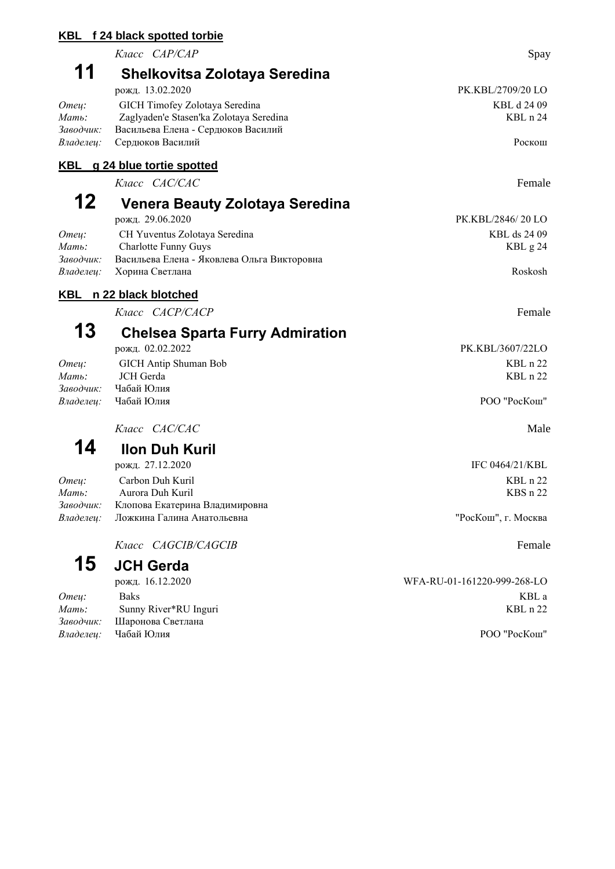#### **KBL f 24 black spotted torbie**

*Класс CAP/CAP* Spay

### **11 Shelkovitsa Zolotaya Seredina**

|           | рожд. 13.02.2020                        | PK.KBL/2709/20 LO |
|-----------|-----------------------------------------|-------------------|
| Omeu:     | GICH Timofey Zolotaya Seredina          | KBL d 24 09       |
| Мать:     | Zaglyaden'e Stasen'ka Zolotaya Seredina | $KBL$ n 24        |
| Заводчик: | Васильева Елена - Сердюков Василий      |                   |
|           | Владелеи: Сердюков Василий              | Роскош            |

### **KBL g 24 blue tortie spotted**

*Класс CAC/CAC* Female

## **12 Venera Beauty Zolotaya Seredina**

|           | рожд. 29.06.2020                            | PK.KBL/2846/20 LO |
|-----------|---------------------------------------------|-------------------|
| Omeu:     | CH Yuventus Zolotaya Seredina               | KBL ds 24 09      |
| Мать:     | Charlotte Funny Guys                        | KBL $g24$         |
| Заводчик: | Васильева Елена - Яковлева Ольга Викторовна |                   |
|           | Владелеи: Хорина Светлана                   | Roskosh           |

### **KBL n 22 black blotched**

*Класс CACP/CACP* Female

## **13 Chelsea Sparta Furry Admiration**

|           | рожд. 02.02.2022            | PK.KBL/3607/22LO |
|-----------|-----------------------------|------------------|
| Omeu:     | GICH Antip Shuman Bob       | $KBL$ n 22       |
| Мать:     | JCH Gerda                   | $KBL$ n 22       |
| Заводчик: | Чабай Юлия                  |                  |
|           | <i>Владелеи:</i> Чабай Юлия | POO "PocKom"     |
|           |                             |                  |

*Класс CAC/CAC* Male

**14 Ilon Duh Kuril**

|       | рожд. 27.12.2020                            | IFC 0464/21/KBL     |
|-------|---------------------------------------------|---------------------|
| Omeu: | Carbon Duh Kuril                            | $KBL$ n 22          |
| Мать: | Aurora Duh Kuril                            | $KBSn$ 22           |
|       | Заводчик: Клопова Екатерина Владимировна    |                     |
|       | <i>Владелеи:</i> Ложкина Галина Анатольевна | "РосКош", г. Москва |
|       |                                             |                     |

*Класс CAGCIB/CAGCIB* Female

# **15 JCH Gerda**

| Omeu: | <b>Baks</b>                 | KBL a        |
|-------|-----------------------------|--------------|
| Мать: | Sunny River*RU Inguri       | $KBL$ n 22   |
|       | Заводчик: Шаронова Светлана |              |
|       | <i>Владелеи:</i> Чабай Юлия | РОО "РосКош" |
|       |                             |              |

рожд. 16.12.2020 WFA-RU-01-161220-999-268-LO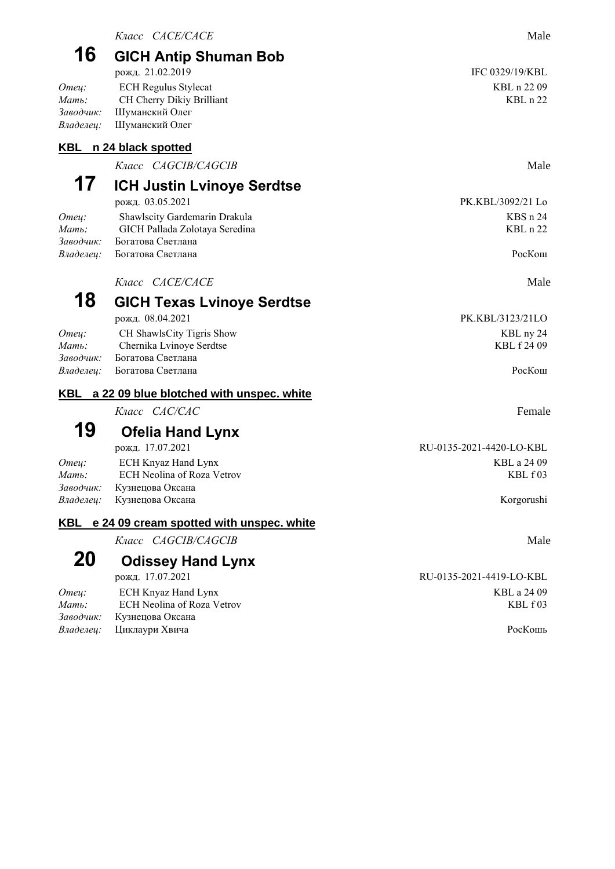### **16 GICH Antip Shuman Bob** рожд. 21.02.2019 IFC 0329/19/KBL

#### **KBL n 24 black spotted**

*Класс CAGCIB/CAGCIB* Male

# **17 ICH Justin Lvinoye Serdtse**

| рожд. 03.03.2021                   | $PA.$ KBL/3092/21 LC |
|------------------------------------|----------------------|
| Shawlscity Gardemarin Drakula      | KBS <sub>n</sub> 24  |
| GICH Pallada Zolotaya Seredina     | $KBL$ n 22           |
| <i>Заводчик:</i> Богатова Светлана |                      |
| <i>Владелеи:</i> Богатова Светлана | PocKom               |
|                                    |                      |

*Knacc CACE/CACE* Male

## **18 GICH Texas Lvinoye Serdtse**

| рожд. 08.04.2021                   | PK.KBL/3123/21LO |
|------------------------------------|------------------|
| CH ShawlsCity Tigris Show          | KBL ny 24        |
| Chernika Lvinoye Serdtse           | KBL f 24 09      |
| <i>Заводчик:</i> Богатова Светлана |                  |
| <i>Владелеи:</i> Богатова Светлана | PocKom           |
|                                    |                  |

### **KBL a 22 09 blue blotched with unspec. white**

*Класс CAC/CAC* Female

### **19 Ofelia Hand Lynx**

|       | рожд. 17.07.2021                  | RU-0135-2021-4420-LO-KBL |
|-------|-----------------------------------|--------------------------|
| Omeu: | ECH Knyaz Hand Lynx               | KBL a 24 09              |
| Мать: | ECH Neolina of Roza Vetrov        | KBL f03                  |
|       | Заводчик: Кузнецова Оксана        |                          |
|       | <i>Владелец:</i> Кузнецова Оксана | Korgorushi               |

### **KBL e 24 09 cream spotted with unspec. white**

*Класс CAGCIB/CAGCIB* Male

### **20 Odissey Hand Lynx**

| Omeu:    | ECH Knyaz Hand Lynx             | KBL a 24 09 |
|----------|---------------------------------|-------------|
| $M$ ать: | ECH Neolina of Roza Vetrov      | KBL f 03    |
|          | Заводчик: Кузнецова Оксана      |             |
|          | <i>Владелец:</i> Циклаури Хвича | РосКошь     |

РК. KBL/3092/21 Lo

РК. KBL/3123/21LO

рожд. 17.07.2021 RU-0135-2021-4419-LO-KBL *КВ*L а 24 09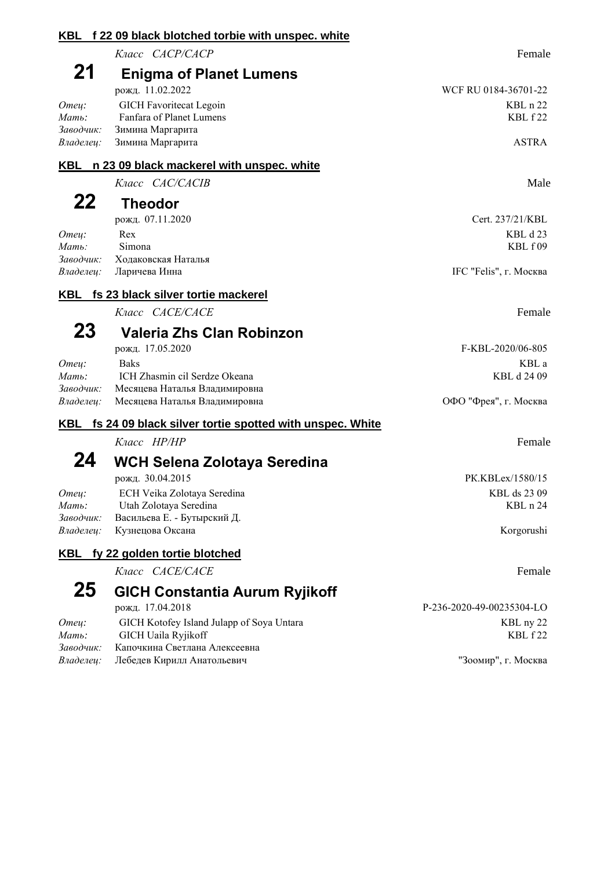|                                                   | KBL f 22 09 black blotched torbie with unspec. white                                                                                 |                                                                    |
|---------------------------------------------------|--------------------------------------------------------------------------------------------------------------------------------------|--------------------------------------------------------------------|
|                                                   | Класс САСР/САСР                                                                                                                      | Female                                                             |
| 21<br>Отец:<br>$M$ ать:<br>Заводчик:              | <b>Enigma of Planet Lumens</b><br>рожд. 11.02.2022<br><b>GICH Favoritecat Legoin</b><br>Fanfara of Planet Lumens<br>Зимина Маргарита | WCF RU 0184-36701-22<br>KBL n 22<br>KBL f 22                       |
| Владелец:                                         | Зимина Маргарита                                                                                                                     | <b>ASTRA</b>                                                       |
| KBL                                               | n 23 09 black mackerel with unspec. white                                                                                            |                                                                    |
|                                                   | Knacc CAC/CACIB                                                                                                                      | Male                                                               |
| 22<br>Отец:<br>$M$ ать:<br>Заводчик:<br>Владелец: | <b>Theodor</b><br>рожд. 07.11.2020<br>Rex<br>Simona<br>Ходаковская Наталья<br>Ларичева Инна                                          | Cert. 237/21/KBL<br>KBL d 23<br>KBL f 09<br>IFC "Felis", г. Москва |
|                                                   | KBL fs 23 black silver tortie mackerel                                                                                               |                                                                    |
|                                                   | Knacc CACE/CACE                                                                                                                      | Female                                                             |
| 23                                                | Valeria Zhs Clan Robinzon                                                                                                            |                                                                    |
| Отец:<br>$M$ ать:<br>Заводчик:<br>Владелец:       | рожд. 17.05.2020<br><b>Baks</b><br>ICH Zhasmin cil Serdze Okeana<br>Месяцева Наталья Владимировна<br>Месяцева Наталья Владимировна   | F-KBL-2020/06-805<br>KBL a<br>KBL d 24 09<br>ОФО "Фрея", г. Москва |
| KBL                                               | fs 24 09 black silver tortie spotted with unspec. White                                                                              |                                                                    |
| 24                                                | Класс НР/НР<br>WCH Selena Zolotaya Seredina                                                                                          | Female                                                             |
| Omey:<br>Мать:<br>Заводчик:<br>Владелец:          | рожд. 30.04.2015<br>ECH Veika Zolotaya Seredina<br>Utah Zolotaya Seredina<br>Васильева Е. - Бутырский Д.<br>Кузнецова Оксана         | PK.KBLex/1580/15<br>KBL ds 23 09<br>KBL n 24<br>Korgorushi         |
| KBL                                               | fy 22 golden tortie blotched                                                                                                         |                                                                    |
|                                                   | Класс <i>CACE/CACE</i>                                                                                                               | Female                                                             |
| 25<br>Omey:                                       | <b>GICH Constantia Aurum Ryjikoff</b><br>рожд. 17.04.2018<br>GICH Kotofey Island Julapp of Soya Untara                               | P-236-2020-49-00235304-LO<br>KBL ny 22                             |
| Мать:<br>Заводчик:<br>Владелец:                   | GICH Uaila Ryjikoff<br>Капочкина Светлана Алексеевна<br>Лебедев Кирилл Анатольевич                                                   | KBL f 22<br>"Зоомир", г. Москва                                    |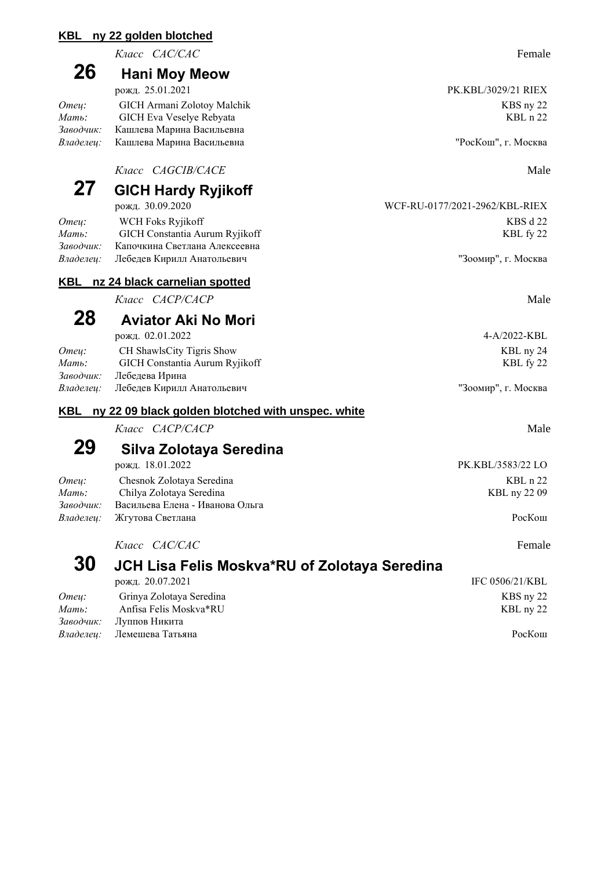#### **KBL ny 22 golden blotched**

*Класс CAC/CAC* Female

### **26 Hani Moy Meow**

| рожд. 25.01.2021                           | PK.KBL/3029/21 RIEX |
|--------------------------------------------|---------------------|
| GICH Armani Zolotoy Malchik                | KBS ny 22           |
| GICH Eva Veselye Rebyata                   | $KBL$ n 22          |
| Кашлева Марина Васильевна                  |                     |
| <i>Владелеи:</i> Кашлева Марина Васильевна | "РосКош", г. Москва |
|                                            |                     |

*Knacc CAGCIB/CACE* Male

### **27 GICH Hardy Ryjikoff**

|           | рожд. 30.09.2020                     | - WCF-RU-01 / //2021-2962/KBL-RIEX |
|-----------|--------------------------------------|------------------------------------|
| Omeu:     | WCH Foks Ryjikoff                    | KBS d 22                           |
| Мать:     | GICH Constantia Aurum Ryjikoff       | KBL fy 22                          |
| Заводчик: | Капочкина Светлана Алексеевна        |                                    |
|           | Владелец: Лебедев Кирилл Анатольевич | "Зоомир", г. Москва                |

#### **KBL nz 24 black carnelian spotted**

*Класс CACP/CACP* Male

## **28 Aviator Aki No Mori**

рожд. 02.01.2022 4-A/2022-KBL

| Omeu: | CH ShawlsCity Tigris Show            | KBL ny 24           |
|-------|--------------------------------------|---------------------|
| Мать: | GICH Constantia Aurum Ryjikoff       | KBL fy 22           |
|       | Заводчик: Лебедева Ирина             |                     |
|       | Владелец: Лебедев Кирилл Анатольевич | "Зоомир", г. Москва |
|       |                                      |                     |

#### **KBL ny 22 09 black golden blotched with unspec. white**

*Класс CACP/CACP* Male

## **29 Silva Zolotaya Seredina**

| рожд. 18.01.2022                  | PK.KBL/3583/22 LO |
|-----------------------------------|-------------------|
| Chesnok Zolotaya Seredina         | $KBL$ n 22        |
| Chilya Zolotaya Seredina          | KBL ny 22 09      |
| Васильева Елена - Иванова Ольга   |                   |
| <i>Владелеи:</i> Жгутова Светлана | PocKom            |
|                                   |                   |

![](_page_9_Picture_17.jpeg)

#### *Класс CAC/CAC* Female **30 JCH Lisa Felis Moskva\*RU of Zolotaya Seredina** рожд. 20.07.2021 IFC 0506/21/KBL *Отец:* Grinya Zolotaya Seredina KBS ny 22 *Мать:* Anfisa Felis Moskva\*RU KBL ny 22 *Заводчик:* Луппов Никита *Владелец:* Лемешева Татьяна РосКош

РК. KBL/3029/21 RIEX

WCF-RU-0177/2021-2962/KBL-RIEX

<sup>"</sup>Зоомир", г. Москва

РК. KBL/3583/22 LO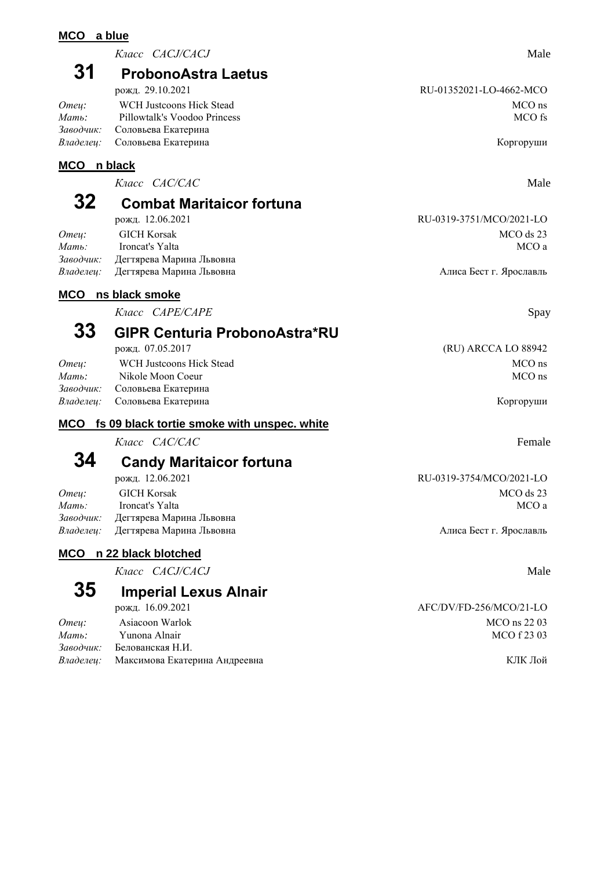#### **MCO a blue**

*Класс CACJ/CACJ* Male

### **31 ProbonoAstra Laetus**

| рожд. 29.10.2021 |                                      | RU-01352021-LO-4662-MCO |  |
|------------------|--------------------------------------|-------------------------|--|
| Omeu:            | WCH Justcoons Hick Stead             | MCO ns                  |  |
| Мать:            | Pillowtalk's Voodoo Princess         | MCO fs                  |  |
|                  | Заводчик: Соловьева Екатерина        |                         |  |
|                  | <i>Владелец:</i> Соловьева Екатерина | Коргоруши               |  |

### **MCO n black**

*Класс CAC/CAC* Male

### **32 Combat Maritaicor fortuna**

*Omey:* GICH Korsak MCO ds 23 *Мать:* Ironcat's Yalta MCO a *Заводчик:* Дегтярева Марина Львовна Владелец: Дегтярева Марина Львовна **Алиса Бест Г. Ярославль** Алиса Бест г. Ярославль

### **MCO ns black smoke**

*Класс САРЕ/САРЕ* Spay

### **33 GIPR Centuria ProbonoAstra\*RU**

| Omeu: | WCH Justcoons Hick Stead      | MCO ns    |
|-------|-------------------------------|-----------|
| Мать: | Nikole Moon Coeur             | MCO ns    |
|       | Заводчик: Соловьева Екатерина |           |
|       | Владелеи: Соловьева Екатерина | Коргоруши |
|       |                               |           |

#### **MCO fs 09 black tortie smoke with unspec. white**

*Класс CAC/CAC* Female

### **34 Candy Maritaicor fortuna**

рожд. 12.06.2021 RU-0319-3754/MCO/2021-LO *Omey:* GICH Korsak MCO ds 23 *Mamь:* Ironcat's Yalta MCO a *Заводчик:* Дегтярева Марина Львовна Владелец: Дегтярева Марина Львовна **Алиса Бест Г.** Ярославль

### **MCO n 22 black blotched**

*Класс CACJ/CACJ* Male

### **35 Imperial Lexus Alnair**

| рожд. 16.09.2021                               | AFC/DV/FD-256/MCO/21-LO |
|------------------------------------------------|-------------------------|
| Asiacoon Warlok                                | MCO ns 22 03            |
| Yunona Alnair                                  | MCO f 23 03             |
| Заводчик: Белованская Н.И.                     |                         |
| <i>Владелеи:</i> Максимова Екатерина Андреевна | КЛК Лой                 |
|                                                |                         |

рожд. 12.06.2021 RU-0319-3751/MCO/2021-LO

рожд. 07.05.2017 (RU) ARCCA LO 88942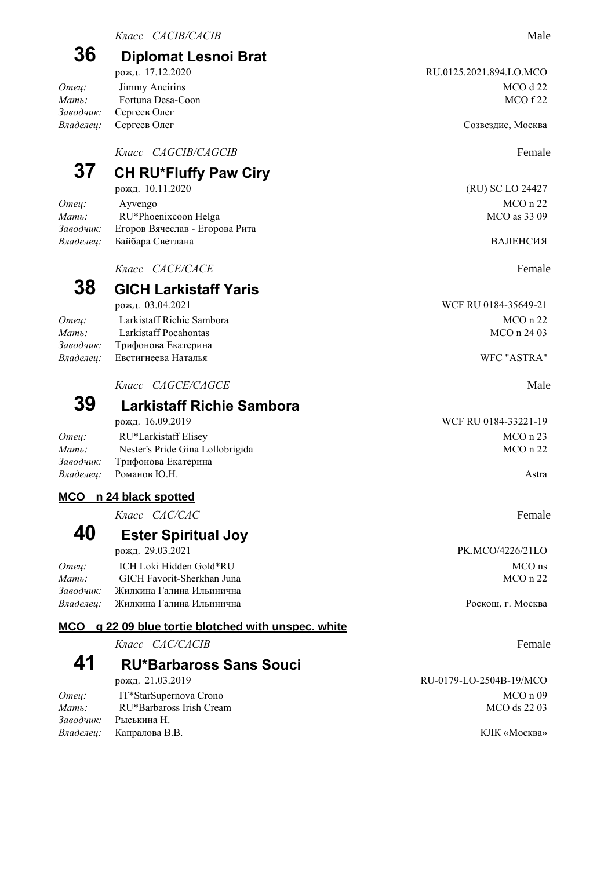*Mamь:* Fortuna Desa-Coon *Заводчик:* Сергеев Олег

*Класс CAGCIB/CAGCIB* Female

### **37 CH RU\*Fluffy Paw Ciry**

*Omey:* Ayvengo MCO n 22 *Mamь*: RU\*Phoenixcoon Helga MCO as 33 09 *Заводчик:* Егоров Вячеслав - Егорова Рита Владелец: Байбара Светлана в Сергение в Северов ВАЛЕНСИЯ

*Knacc CACE/CACE* Female

### **38 GICH Larkistaff Yaris**

| WCF RU 0184-35649-21 |  |
|----------------------|--|
| $MCO$ n 22           |  |
| MCO n 24 03          |  |
|                      |  |
| WFC "ASTRA"          |  |
|                      |  |

*Класс CAGCE/CAGCE* Male

### **39 Larkistaff Richie Sambora**

|       | рожд. 16.09.2019                 | WCF RU 0184-33221-19 |
|-------|----------------------------------|----------------------|
| Omeu: | RU*Larkistaff Elisey             | $MCO$ n 23           |
| Мать: | Nester's Pride Gina Lollobrigida | $MCO$ n 22           |
|       | Заводчик: Прифонова Екатерина    |                      |
|       | <i>Владелеи:</i> Романов Ю.Н.    | Astra                |
|       |                                  |                      |

### **MCO n 24 black spotted**

*Класс CAC/CAC* Female

### **40 Ester Spiritual Joy**

рожд. 29.03.2021 PK.MCO/4226/21LO *Отец:* ICH Loki Hidden Gold\*RU MCO ns *Mamb*: GICH Favorit-Sherkhan Juna MCO n 22 *Заводчик:* Жилкина Галина Ильинична

### **MCO g 22 09 blue tortie blotched with unspec. white**

| Класс <i>CAC/CACIB</i> | Female |  |
|------------------------|--------|--|
|                        |        |  |

### **41 RU\*Barbaross Sans Souci**

*Omeu*: IT\*StarSupernova Crono **MCO** n 09 *Мать:* RU\*Barbaross Irish Cream MCO ds 22 03 *Заводчик:* Рыськина Н. *Владелец:* Капралова В.В. КЛК «Москва»

*Владелец:* Сергеев Олег Созвездие, Москва

рожд. 10.11.2020 (RU) SC LO 24427

WCF RU 0184-35649-21

*Владелец:* Жилкина Галина Ильинична Роскош, г. Москва

рожд. 21.03.2019 RU-0179-LO-2504B-19/MCO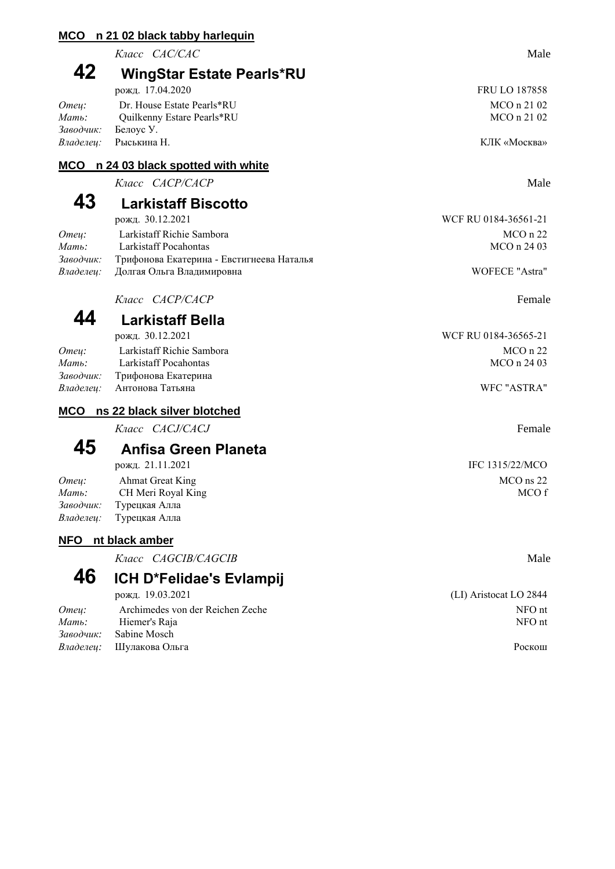#### **MCO n 21 02 black tabby harlequin**

*Класс CAC/CAC* Male

### **42 WingStar Estate Pearls\*RU**

| рожд. 17.04.2020             | <b>FRU LO 187858</b> |  |
|------------------------------|----------------------|--|
| Dr. House Estate Pearls*RU   | MCO n 21 02          |  |
| Ouilkenny Estare Pearls*RU   | MCO n 21 02          |  |
| Заводчик: Белоус У.          |                      |  |
| <i>Владелеи:</i> Рыськина Н. | КЛК «Москва»         |  |
|                              |                      |  |

### **MCO n 24 03 black spotted with white**

*Класс CACP/CACP* Male

## **43 Larkistaff Biscotto**

| рожд. 30.12.2021                     |                                                     | WCF RU 0184-36561-21 |
|--------------------------------------|-----------------------------------------------------|----------------------|
| Omeu:                                | Larkistaff Richie Sambora                           | $MCO$ n 22           |
| $M$ <i>am</i> $\ddot{\phantom{a}}$ : | Larkistaff Pocahontas                               | MCO n 24 03          |
|                                      | Заводчик: Трифонова Екатерина - Евстигнеева Наталья |                      |
|                                      | Владелец: Долгая Ольга Владимировна                 | WOFECE "Astra"       |

*Класс CACP/CACP* Female

### **44 Larkistaff Bella**

|       | рожд. 30.12.2021              | WCF RU 0184-36565-21 |
|-------|-------------------------------|----------------------|
| Omeu: | Larkistaff Richie Sambora     | $MCO$ n 22           |
| Мать: | Larkistaff Pocahontas         | MCO n 24 03          |
|       | Заводчик: Трифонова Екатерина |                      |
|       | Владелеи: Антонова Татьяна    | WFC "ASTRA"          |

#### **MCO ns 22 black silver blotched**

*Класс CACJ/CACJ* Female

### **45 Anfisa Green Planeta**

|       | рожд. 21.11.2021                | IFC 1315/22/MCO |
|-------|---------------------------------|-----------------|
| Omeu: | Ahmat Great King                | $MCO$ ns 22     |
| Мать: | CH Meri Royal King              | MCO 1           |
|       | <i>Заводчик:</i> Турецкая Алла  |                 |
|       | <i>Владелец</i> : Турецкая Алла |                 |

### **NFO nt black amber**

*Класс CAGCIB/CAGCIB* Male

![](_page_12_Picture_17.jpeg)

### **46 ICH D\*Felidae's Evlampij**

|       | рожд. 19.03.2021                 | (LI) Aristocat LO 2844 |
|-------|----------------------------------|------------------------|
| Omeu: | Archimedes von der Reichen Zeche | NFO nt                 |
| Мать: | Hiemer's Raja                    | NFO nt                 |
|       | Заводчик: Sabine Mosch           |                        |
|       | <i>Владелец:</i> Шулакова Ольга  | Роскош                 |

### FRU LO 187858 МСО n 21 02

WCF RU 0184-36561-21

рожд. 21.11.2021 IFC 1315/22/MCO

(LI) Aristocat LO 2844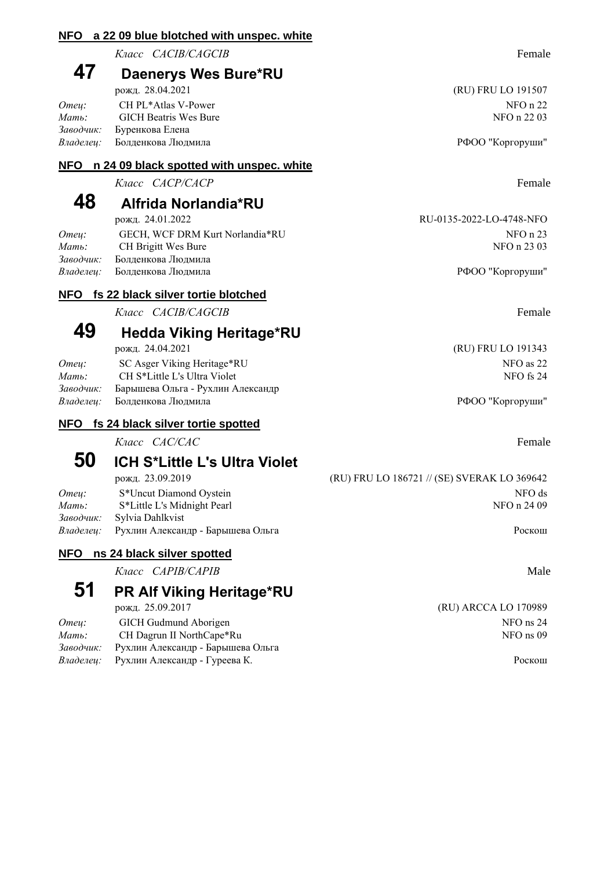#### **NFO a 22 09 blue blotched with unspec. white**

*Класс CACIB/CAGCIB* Female

### **47 Daenerys Wes Bure\*RU**

| рожд. 28.04.2021          | (RU) FRU LO 191507 |
|---------------------------|--------------------|
| CH PL*Atlas V-Power       | NFO n 22           |
| GICH Beatris Wes Bure     | NFO n 22 03        |
| Заводчик: Буренкова Елена |                    |
| Болденкова Людмила        | РФОО "Коргоруши"   |
|                           |                    |

#### **NFO n 24 09 black spotted with unspec. white**

*Класс CACP/CACP* Female

### **48 Alfrida Norlandia\*RU**

|           | рожд. 24.01.2022                | RU-0135-2022-LO-4748-NFO |
|-----------|---------------------------------|--------------------------|
| Omeu:     | GECH, WCF DRM Kurt Norlandia*RU | NFO n 23                 |
| Мать:     | CH Brigitt Wes Bure             | NFO n 23 03              |
| Заводчик: | Болленкова Люлмила              |                          |
| Владелеи: | Болденкова Людмила              | РФОО "Коргоруши"         |
|           |                                 |                          |

### **NFO fs 22 black silver tortie blotched**

*Класс CACIB/CAGCIB* Female

### **49 Hedda Viking Heritage\*RU**

| Omeu:     | SC Asger Viking Heritage*RU         | NFO as 22        |
|-----------|-------------------------------------|------------------|
| Мать:     | CH S*Little L's Ultra Violet        | NFO fs 24        |
| Заводчик: | Барышева Ольга - Рухлин Александр   |                  |
|           | <i>Владелеи:</i> Болденкова Людмила | РФОО "Коргоруши" |

#### **NFO fs 24 black silver tortie spotted**

*Класс CAC/CAC* Female

### **50 ICH S\*Little L's Ultra Violet**

*Omey:* S<sup>\*</sup>Uncut Diamond Oystein S<sup>\*</sup> NFO ds *Mamb*: S\*Little L's Midnight Pearl  $NFO n 24 09$ *Заводчик:* Sylvia Dahlkvist Владелец: Рухлин Александр - Барышева Ольга **Роскош** 

#### **NFO ns 24 black silver spotted**

*Класс CAPIB/CAPIB* Male

# **51 PR Alf Viking Heritage\*RU**

| Omeu: | GICH Gudmund Aborigen                       | NFO ns 24 |
|-------|---------------------------------------------|-----------|
| Мать: | CH Dagrun II NorthCape*Ru                   | NFO ns 09 |
|       | Заводчик: Рухлин Александр - Барышева Ольга |           |
|       | Владелец: Рухлин Александр - Гуреева К.     | Роскош    |

![](_page_13_Picture_23.jpeg)

(RU) FRU LO 191507

RU-0135-2022-LO-4748-NFO

рожд. 24.04.2021 (RU) FRU LO 191343

рожд. 23.09.2019 (RU) FRU LO 186721 // (SE) SVERAK LO 369642

(RU) ARCCA LO 170989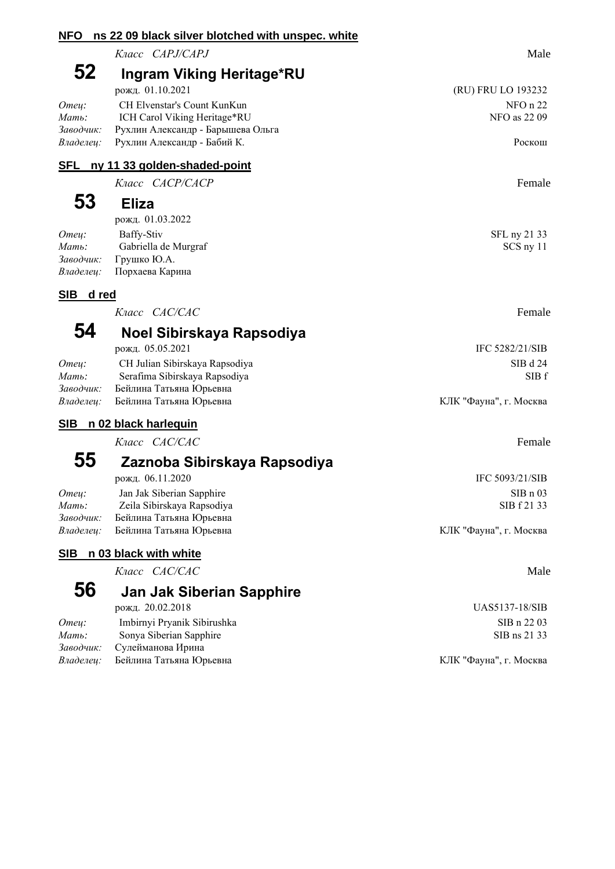#### **NFO ns 22 09 black silver blotched with unspec. white**

*Класс CAPJ/CAPJ* Male

# **52 Ingram Viking Heritage\*RU**

|                              | 11011101011322                                                                                                                                                            |
|------------------------------|---------------------------------------------------------------------------------------------------------------------------------------------------------------------------|
| CH Elvenstar's Count KunKun  | NFO n 22                                                                                                                                                                  |
| ICH Carol Viking Heritage*RU | NFO as 22 09                                                                                                                                                              |
|                              |                                                                                                                                                                           |
|                              | Роскош                                                                                                                                                                    |
|                              | $p \text{v} \text{m} \text{m}$ , $v \text{u} \text{u} \text{v} \text{m} \text{m}$<br>Заводчик: Рухлин Александр - Барышева Ольга<br>Владелеи: Рухлин Александр - Бабий К. |

#### **SFL ny 11 33 golden-shaded-point**

*Класс CACP/CACP* Female

### **53 Eliza**

| рожд. 01.03.2022                 |              |
|----------------------------------|--------------|
| Baffy-Stiv                       | SFL ny 21 33 |
| Gabriella de Murgraf             | SCS ny 11    |
| Заводчик: Грушко Ю.А.            |              |
| <i>Владелеи:</i> Порхаева Карина |              |
|                                  |              |

### **SIB d red**

*Класс CAC/CAC* Female

### **54 Noel Sibirskaya Rapsodiya**

|           | рожд. 05.05.2021               | IFC 5282/21/SIB        |
|-----------|--------------------------------|------------------------|
| Omeu:     | CH Julian Sibirskaya Rapsodiya | SIB d 24               |
| Мать:     | Serafima Sibirskaya Rapsodiya  | SIB <sub>1</sub>       |
| Заводчик: | Бейлина Татьяна Юрьевна        |                        |
| Владелеи: | Бейлина Татьяна Юрьевна        | КЛК "Фауна", г. Москва |
|           |                                |                        |

### **SIB n 02 black harlequin**

*Класс CAC/CAC* Female

### **55 Zaznoba Sibirskaya Rapsodiya** рожд. 06.11.2020 IFC 5093/21/SIB

| Omeu:     | Jan Jak Siberian Sapphire  | SIBn03                 |
|-----------|----------------------------|------------------------|
| Мать:     | Zeila Sibirskaya Rapsodiya | SIB f 21 33            |
| Заводчик: | Бейлина Татьяна Юрьевна    |                        |
| Владелеи: | Бейлина Татьяна Юрьевна    | КЛК "Фауна", г. Москва |

### **SIB n 03 black with white**

*Класс CAC/CAC* Male

### **56 Jan Jak Siberian Sapphire**

рожд. 20.02.2018 UAS5137-18/SIB

| Omeu: | Imbirnyi Pryanik Sibirushka       | SIB n 22 03            |
|-------|-----------------------------------|------------------------|
| Мать: | Sonya Siberian Sapphire           | SIB ns 21 33           |
|       | Заводчик: Сулейманова Ирина       |                        |
|       | Владелеи: Бейлина Татьяна Юрьевна | КЛК "Фауна", г. Москва |

*Владелец:* Бейлина Татьяна Юрьевна КЛК "Фауна", г. Москва

(RU) FRU LO 193232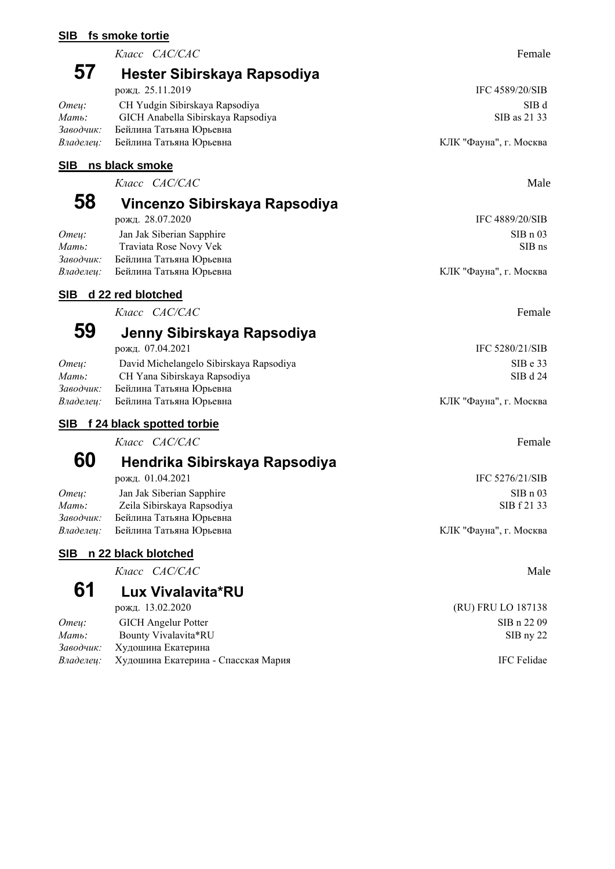#### **SIB fs smoke tortie**

*Класс CAC/CAC* Female

### **57 Hester Sibirskaya Rapsodiya**

|           | рожд. 25.11.2019                   | IFC 4589/20/SIB        |
|-----------|------------------------------------|------------------------|
| Omeu:     | CH Yudgin Sibirskaya Rapsodiya     | SIB d                  |
| Мать:     | GICH Anabella Sibirskaya Rapsodiya | SIB as 21 33           |
| Заводчик: | Бейлина Татьяна Юрьевна            |                        |
| Владелеи: | Бейлина Татьяна Юрьевна            | КЛК "Фауна", г. Москва |
|           |                                    |                        |

#### **SIB ns black smoke**

*Класс CAC/CAC* Male

### **58 Vincenzo Sibirskaya Rapsodiya** рожд. 28.07.2020 IFC 4889/20/SIB

*Omey:* Jan Jak Siberian Sapphire SIB n 03 *Mamb*: Traviata Rose Novy Vek SIB ns *Заводчик:* Бейлина Татьяна Юрьевна *Владелец:* Бейлина Татьяна Юрьевна **КЛК "Фауна", г. Москва** КЛК "Фауна", г. Москва

### **SIB d 22 red blotched**

*Класс CAC/CAC* Female

### **59 Jenny Sibirskaya Rapsodiya**

|           | рожд. 07.04.2021                        | IFC 5280/21/SIB        |
|-----------|-----------------------------------------|------------------------|
| Omeu:     | David Michelangelo Sibirskaya Rapsodiya | SIBe 33                |
| Мать:     | CH Yana Sibirskaya Rapsodiya            | SIB d 24               |
| Заводчик: | Бейлина Татьяна Юрьевна                 |                        |
| Владелеи: | Бейлина Татьяна Юрьевна                 | КЛК "Фауна", г. Москва |
|           |                                         |                        |

### **SIB f 24 black spotted torbie**

*Класс CAC/CAC* Female

### **60 Hendrika Sibirskaya Rapsodiya** рожд. 01.04.2021 IFC 5276/21/SIB

*Omey:* Jan Jak Siberian Sapphire SIB n 03 *Mamь*: Zeila Sibirskaya Rapsodiya Zeila Sibirskaya Rapsodiya SIB f 21 33 *Заводчик:* Бейлина Татьяна Юрьевна Владелец: Бейлина Татьяна Юрьевна **КЛК "Фауна", г. Москва** 

### **SIB n 22 black blotched**

*Класс CAC/CAC* Male

# **61 Lux Vivalavita\*RU**

| Omeu: | <b>GICH</b> Angelur Potter                    | SIB n 22 09        |
|-------|-----------------------------------------------|--------------------|
| Мать: | Bounty Vivalavita*RU                          | $SIB$ nv 22        |
|       | Заводчик: Худошина Екатерина                  |                    |
|       | Владелеи: Худошина Екатерина - Спасская Мария | <b>IFC</b> Felidae |

(RU) FRU LO 187138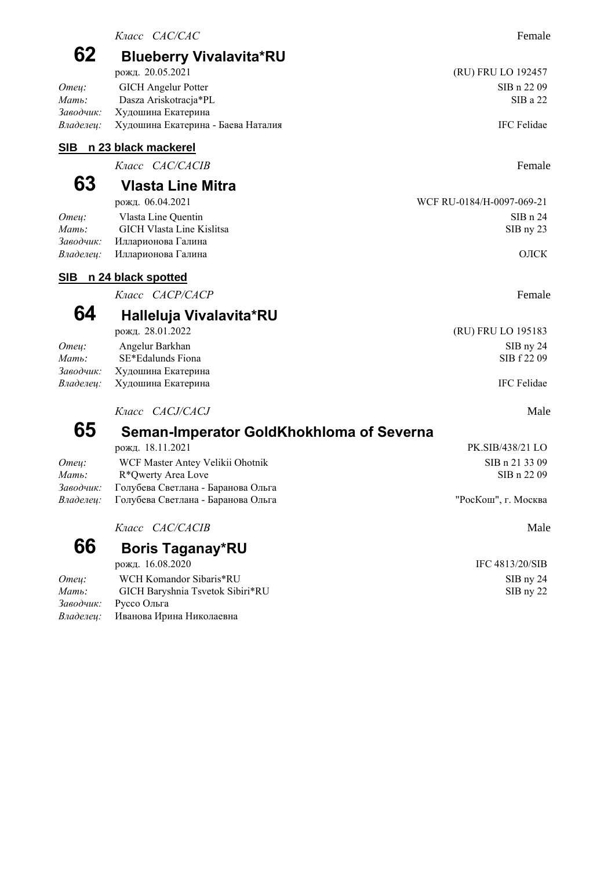| 62                     | <b>Blueberry Vivalavita*RU</b>                           |                           |
|------------------------|----------------------------------------------------------|---------------------------|
|                        | рожд. 20.05.2021                                         | (RU) FRU LO 192457        |
| Отец:                  | <b>GICH</b> Angelur Potter                               | SIB n 22 09               |
| Мать:                  | Dasza Ariskotracja*PL                                    | SIBa 22                   |
| Заводчик:<br>Владелец: | Худошина Екатерина<br>Худошина Екатерина - Баева Наталия | IFC Felidae               |
| SIB                    | n 23 black mackerel                                      |                           |
|                        | Класс САС/САСІВ                                          | Female                    |
| 63                     | <b>Vlasta Line Mitra</b>                                 |                           |
|                        | рожд. 06.04.2021                                         | WCF RU-0184/H-0097-069-21 |
| Отец:                  | Vlasta Line Quentin                                      | SIBn 24                   |
| Мать:                  | <b>GICH Vlasta Line Kislitsa</b>                         | SIB ny 23                 |
| Заводчик:<br>Владелец: | Илларионова Галина<br>Илларионова Галина                 | ОЛСК                      |
|                        |                                                          |                           |
| <u>SIB</u>             | n 24 black spotted<br>Класс <i>САСР/САСР</i>             | Female                    |
|                        |                                                          |                           |
| 64                     | Halleluja Vivalavita*RU                                  |                           |
|                        | рожд. 28.01.2022                                         | (RU) FRU LO 195183        |
| Отец:                  | Angelur Barkhan                                          | SIB ny 24                 |
| Мать:                  | SE*Edalunds Fiona                                        | SIB f 22 09               |
| Заво∂чик:<br>Владелец: | Худошина Екатерина<br>Худошина Екатерина                 | IFC Felidae               |
|                        | Knacc CACJ/CACJ                                          | Male                      |
| 65                     | Seman-Imperator GoldKhokhloma of Severna                 |                           |
|                        | рожд. 18.11.2021                                         | PK.SIB/438/21 LO          |
| Отец:                  | WCF Master Antey Velikii Ohotnik                         | SIB n 21 33 09            |
| Мать:                  | R*Qwerty Area Love                                       | SIB n 22 09               |
| Заводчик:              | Голубева Светлана - Баранова Ольга                       |                           |
| Владелец:              | Голубева Светлана - Баранова Ольга                       | "РосКош", г. Москва       |
|                        | Класс <i>CAC/CACIB</i>                                   | Male                      |
| 66                     | <b>Boris Taganay*RU</b>                                  |                           |
|                        | рожд. 16.08.2020                                         | IFC 4813/20/SIB           |
| Отец:                  | WCH Komandor Sibaris*RU                                  | SIB ny 24                 |
| Мать:                  | GICH Baryshnia Tsvetok Sibiri*RU                         | SIB ny 22                 |

*Заводчик:* Руссо Ольга

*Владелец:* Иванова Ирина Николаевна

*Класс CAC/CAC* Female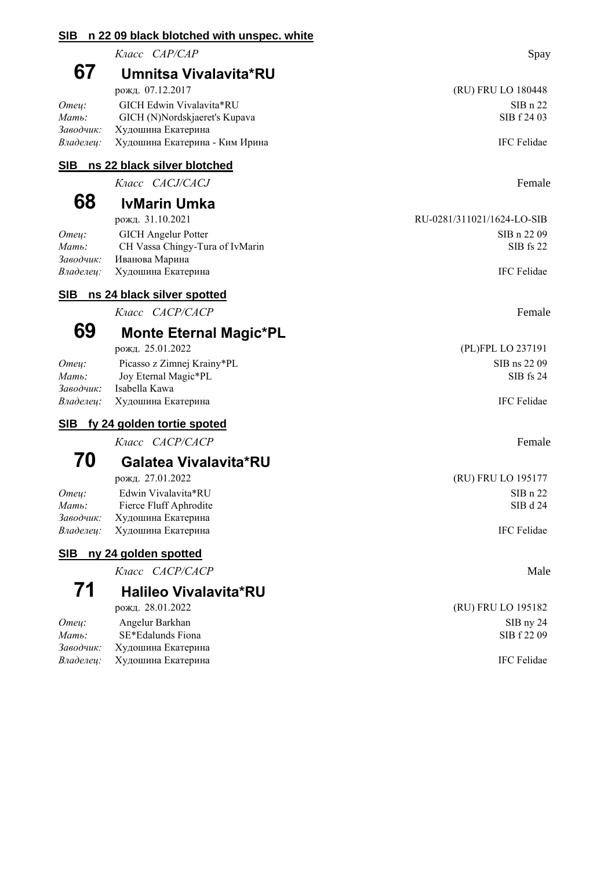| <b>SIB</b>             | n 22 09 black blotched with unspec. white            |                            |
|------------------------|------------------------------------------------------|----------------------------|
|                        | Класс САР/САР                                        | Spay                       |
| 67                     | Umnitsa Vivalavita*RU                                |                            |
|                        | рожд. 07.12.2017                                     | (RU) FRU LO 180448         |
| Omey:                  | GICH Edwin Vivalavita*RU                             | SIBn 22                    |
| Мать:                  | GICH (N)Nordskjaeret's Kupava                        | SIB f 24 03                |
| Заводчик:<br>Владелец: | Худошина Екатерина<br>Худошина Екатерина - Ким Ирина | <b>IFC Felidae</b>         |
| <u>SIB</u>             | ns 22 black silver blotched                          |                            |
|                        | Класс CACJ/CACJ                                      | Female                     |
| 68                     | <b>IvMarin Umka</b>                                  |                            |
|                        | рожд. 31.10.2021                                     | RU-0281/311021/1624-LO-SIB |
| Отец:                  | <b>GICH</b> Angelur Potter                           | SIB n 22 09                |
| Мать:                  | CH Vassa Chingy-Tura of IvMarin                      | SIB fs 22                  |
| Заводчик:<br>Владелец: | Иванова Марина<br>Худошина Екатерина                 | IFC Felidae                |
|                        |                                                      |                            |
| <b>SIB</b>             | ns 24 black silver spotted                           |                            |
|                        | Класс <i>САСР/САСР</i>                               | Female                     |
| 69                     | <b>Monte Eternal Magic*PL</b>                        |                            |
|                        | рожд. 25.01.2022                                     | (PL)FPL LO 237191          |
| Отец:<br>Мать:         | Picasso z Zimnej Krainy*PL<br>Joy Eternal Magic*PL   | SIB ns 22 09<br>SIB fs 24  |
| Заводчик:              | Isabella Kawa                                        |                            |
| Владелец:              | Худошина Екатерина                                   | IFC Felidae                |
|                        | SIB fy 24 golden tortie spoted                       |                            |
|                        | Класс <i>CACP/CACP</i>                               | Female                     |
| 70                     | Galatea Vivalavita*RU                                |                            |
|                        | рожд. 27.01.2022                                     | (RU) FRU LO 195177         |
| Omey:                  | Edwin Vivalavita*RU                                  | SIBn 22                    |
| Мать:<br>Заводчик:     | Fierce Fluff Aphrodite<br>Худошина Екатерина         | SIB d 24                   |
| Владелец:              | Худошина Екатерина                                   | <b>IFC Felidae</b>         |
| <u>SIB</u>             | ny 24 golden spotted                                 |                            |
|                        | Класс САСР/САСР                                      | Male                       |
| 71                     | <b>Halileo Vivalavita*RU</b>                         |                            |
|                        | рожд. 28.01.2022                                     | (RU) FRU LO 195182         |
| Omeų:                  | Angelur Barkhan                                      | SIB ny 24                  |
| Мать:                  | SE*Edalunds Fiona                                    | SIB f 22 09                |
| Заводчик:              | Худошина Екатерина                                   |                            |

*Владелец:* Худошина Екатерина **IFC Felidae** IFC Felidae **IFC Felidae**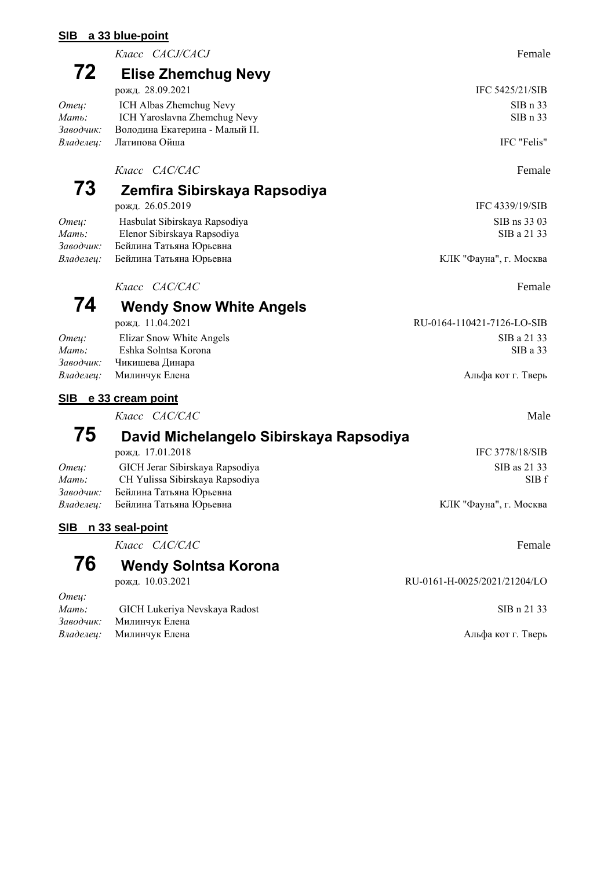#### **SIB a 33 blue-point**

*Класс CACJ/CACJ* Female

### **72 Elise Zhemchug Nevy**

|           | рожд. 28.09.2021               | IFC 5425/21/SIB |
|-----------|--------------------------------|-----------------|
| Omeu:     | ICH Albas Zhemchug Nevy        | SIBn 33         |
| Мать:     | ICH Yaroslavna Zhemchug Nevy   | SIBn 33         |
| Заводчик: | Володина Екатерина - Малый П.  |                 |
|           | <i>Владелеи:</i> Латипова Ойша | IFC "Felis"     |

### *Класс CAC/CAC* Female

### **73 Zemfira Sibirskaya Rapsodiya**

**74 Wendy Snow White Angels**

рожд. 26.05.2019 IFC 4339/19/SIB *Omey:* Hasbulat Sibirskaya Rapsodiya SIB ns 33 03 *Mamb*: Elenor Sibirskaya Rapsodiya SIB a 21 33 *Заводчик:* Бейлина Татьяна Юрьевна Владелец: Бейлина Татьяна Юрьевна **КЛК "Фауна", г. Москва** 

*Класс CAC/CAC* Female

#### рожд. 11.04.2021 RU-0164-110421-7126-LO-SIB *Omey:* Elizar Snow White Angels SIB a 21 33 *Мать:* Eshka Solntsa Korona SIB a 33

Владелец: Милинчук Елена **Альфа кот г. Тверь** Альфа кот г. Тверь

#### **SIB e 33 cream point**

*Заводчик:* Чикишева Динара

*Класс CAC/CAC* Male

### **75 David Michelangelo Sibirskaya Rapsodiya**

|           | рожд. 17.01.2018                         | IFC 3778/18/SIB        |
|-----------|------------------------------------------|------------------------|
| Omeu:     | GICH Jerar Sibirskaya Rapsodiya          | SIB as 21 33           |
| Мать:     | CH Yulissa Sibirskaya Rapsodiya          | SIB <sub>1</sub>       |
| Заводчик: | Бейлина Татьяна Юрьевна                  |                        |
|           | <i>Владелец:</i> Бейлина Татьяна Юрьевна | КЛК "Фауна", г. Москва |

### **SIB n 33 seal-point**

*Класс CAC/CAC* Female

# **76 Wendy Solntsa Korona**

*Отец:*

| -------- |                                 |                    |
|----------|---------------------------------|--------------------|
| Мать:    | GICH Lukeriya Nevskaya Radost   | SIB n 21 33        |
|          | <i>Заводчик:</i> Милинчук Елена |                    |
|          | <i>Владелеи:</i> Милинчук Елена | Альфа кот г. Тверь |

RU-0161-H-0025/2021/21204/LO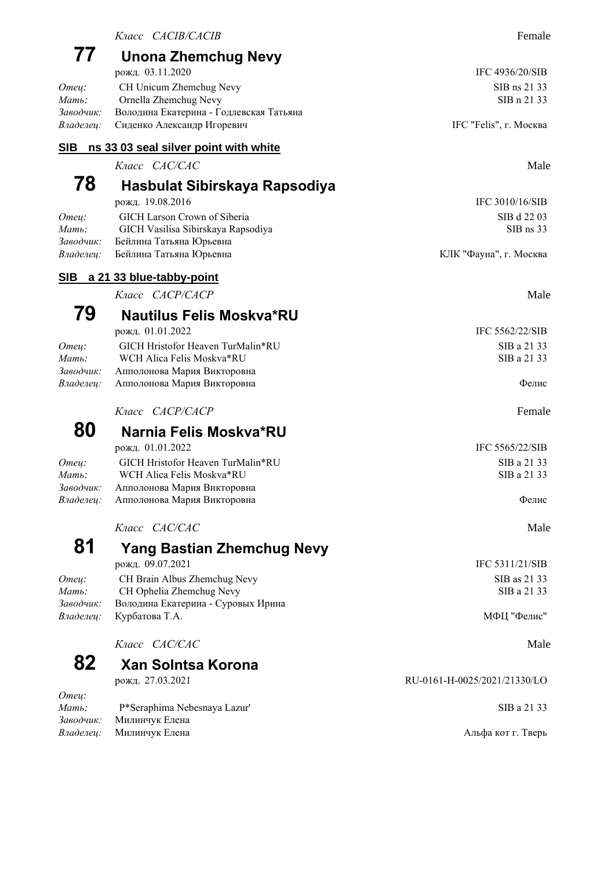| 77                          | Unona Zhemchug Nevy<br>рожд. 03.11.2020                                                              | IFC 4936/20/SIB              |
|-----------------------------|------------------------------------------------------------------------------------------------------|------------------------------|
| Omey:<br>Мать:              | CH Unicum Zhemchug Nevy<br>Ornella Zhemchug Nevy                                                     | SIB ns 21 33<br>SIB n 21 33  |
| Заводчик:<br>Владелец:      | Володина Екатерина - Годлевская Татьяна<br>Сиденко Александр Игоревич                                | IFC "Felis", г. Москва       |
| <u>SIB</u>                  | ns 33 03 seal silver point with white                                                                |                              |
|                             | Knacc CAC/CAC                                                                                        | Male                         |
| 78                          | Hasbulat Sibirskaya Rapsodiya<br>рожд. 19.08.2016                                                    | IFC 3010/16/SIB              |
| Omey:<br>Мать:<br>Заводчик: | <b>GICH Larson Crown of Siberia</b><br>GICH Vasilisa Sibirskaya Rapsodiya<br>Бейлина Татьяна Юрьевна | SIB d 22 03<br>SIB ns 33     |
| Владелец:                   | Бейлина Татьяна Юрьевна                                                                              | КЛК "Фауна", г. Москва       |
| <b>SIB</b>                  | a 21 33 blue-tabby-point                                                                             |                              |
|                             | Класс <i>САСР/САСР</i>                                                                               | Male                         |
| 79                          | <b>Nautilus Felis Moskva*RU</b>                                                                      |                              |
|                             | рожд. 01.01.2022                                                                                     | IFC 5562/22/SIB              |
| Отец:<br>Мать:<br>Заводчик: | GICH Hristofor Heaven TurMalin*RU<br>WCH Alica Felis Moskva*RU<br>Апполонова Мария Викторовна        | SIB a 21 33<br>SIB a 21 33   |
| Владелец:                   | Апполонова Мария Викторовна                                                                          | Фелис                        |
|                             | Класс <i>САСР/САСР</i>                                                                               | Female                       |
| 80                          | Narnia Felis Moskva*RU                                                                               |                              |
|                             | рожд. 01.01.2022                                                                                     | IFC 5565/22/SIB              |
| Отец:<br>Мать:<br>Заводчик: | GICH Hristofor Heaven TurMalin*RU<br>WCH Alica Felis Moskva*RU<br>Апполонова Мария Викторовна        | SIB a 21 33<br>SIB a 21 33   |
| Владелец:                   | Апполонова Мария Викторовна                                                                          | Фелис                        |
|                             | Класс САС/САС                                                                                        | Male                         |
| 81                          | <b>Yang Bastian Zhemchug Nevy</b>                                                                    |                              |
|                             | рожд. 09.07.2021                                                                                     | IFC 5311/21/SIB              |
| Отец:<br>Мать:              | CH Brain Albus Zhemchug Nevy<br>CH Ophelia Zhemchug Nevy                                             | SIB as 21 33<br>SIB a 21 33  |
| Заводчик:<br>Владелец:      | Володина Екатерина - Суровых Ирина<br>Курбатова Т.А.                                                 | МФЦ "Фелис"                  |
|                             | Класс <i>CAC/CAC</i>                                                                                 | Male                         |
| 82                          | <b>Xan Solntsa Korona</b>                                                                            |                              |
|                             | рожд. 27.03.2021                                                                                     | RU-0161-H-0025/2021/21330/LO |
| Отец:<br>Мать:<br>Заводчик: | P*Seraphima Nebesnaya Lazur'<br>Милинчук Елена                                                       | SIB a 21 33                  |

Владелец: Милинчук Елена **Альфа кот г. Тверь** Альфа кот г. Тверь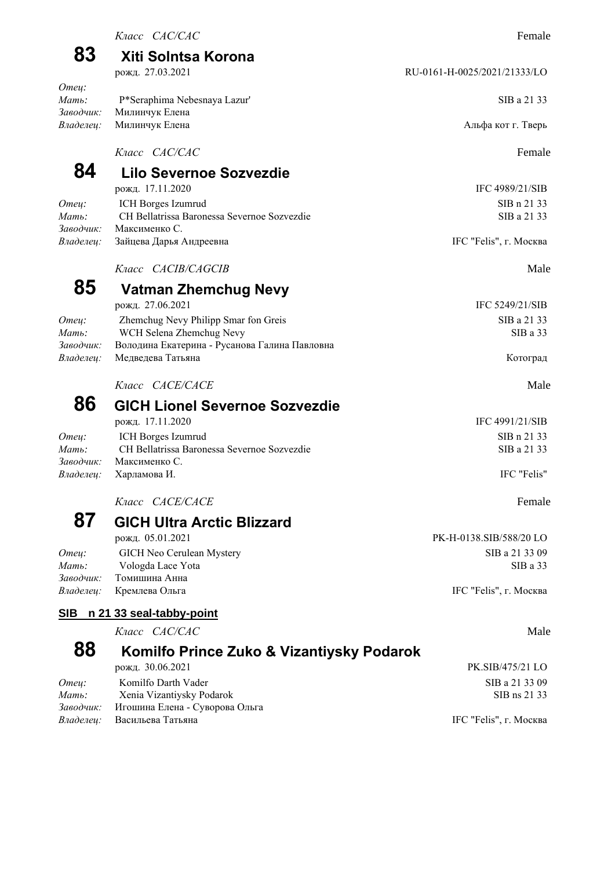| 83                             | Xiti Solntsa Korona                                                |                              |
|--------------------------------|--------------------------------------------------------------------|------------------------------|
|                                | рожд. 27.03.2021                                                   | RU-0161-H-0025/2021/21333/LO |
| Omey:<br>$M$ ать:<br>Заводчик: | P*Seraphima Nebesnaya Lazur'<br>Милинчук Елена                     | SIB a 21 33                  |
| Владелец:                      | Милинчук Елена                                                     | Альфа кот г. Тверь           |
|                                | Класс САС/САС                                                      | Female                       |
| 84                             | Lilo Severnoe Sozvezdie                                            |                              |
|                                | рожд. 17.11.2020                                                   | IFC 4989/21/SIB              |
| Omey:                          | ICH Borges Izumrud                                                 | SIB n 21 33                  |
| $M$ ать:<br>Заводчик:          | CH Bellatrissa Baronessa Severnoe Sozvezdie<br>Максименко С.       | SIB a 21 33                  |
| Владелец:                      | Зайцева Дарья Андреевна                                            | IFC "Felis", г. Москва       |
|                                | Класс <i>CACIB/CAGCIB</i>                                          | Male                         |
| 85                             | Vatman Zhemchug Nevy                                               |                              |
|                                | рожд. 27.06.2021                                                   | IFC 5249/21/SIB              |
| Omey:                          | Zhemchug Nevy Philipp Smar fon Greis                               | SIB a 21 33                  |
| Мать:                          | WCH Selena Zhemchug Nevy                                           | SIBa 33                      |
| Заводчик:<br>Владелец:         | Володина Екатерина - Русанова Галина Павловна<br>Медведева Татьяна | Котоград                     |
|                                | Класс <i>CACE/CACE</i>                                             | Male                         |
| 86                             | <b>GICH Lionel Severnoe Sozvezdie</b>                              |                              |
|                                | рожд. 17.11.2020                                                   | IFC 4991/21/SIB              |
| Отец:                          | ICH Borges Izumrud                                                 | SIB n 21 33                  |
| $M$ ать:                       | CH Bellatrissa Baronessa Severnoe Sozvezdie                        | SIB a 21 33                  |
| Заводчик:                      | Максименко С.                                                      |                              |
| Владелец:                      | Харламова И.                                                       | IFC "Felis"                  |
|                                | Класс <i>CACE/CACE</i>                                             | Female                       |
| 87                             | <b>GICH Ultra Arctic Blizzard</b>                                  |                              |
|                                | рожд. 05.01.2021                                                   | PK-H-0138.SIB/588/20 LO      |
| Отец:                          | GICH Neo Cerulean Mystery                                          | SIB a 21 33 09               |
| $M$ ать:<br>Заводчик:          | Vologda Lace Yota<br>Томишина Анна                                 | SIBa 33                      |
| Владелец:                      | Кремлева Ольга                                                     | IFC "Felis", г. Москва       |
| SIB                            | n 21 33 seal-tabby-point                                           |                              |
|                                | Класс САС/САС                                                      | Male                         |
| 88                             | Komilfo Prince Zuko & Vizantiysky Podarok                          |                              |
|                                | рожд. 30.06.2021                                                   | PK.SIB/475/21 LO             |
| Отец:                          | Komilfo Darth Vader                                                | SIB a 21 33 09               |
| Мать:                          | Xenia Vizantiysky Podarok                                          | SIB ns 21 33                 |
| Заводчик:                      | Игошина Елена - Суворова Ольга                                     |                              |

Владелец: Васильева Татьяна **IFC "Felis", г. Москва**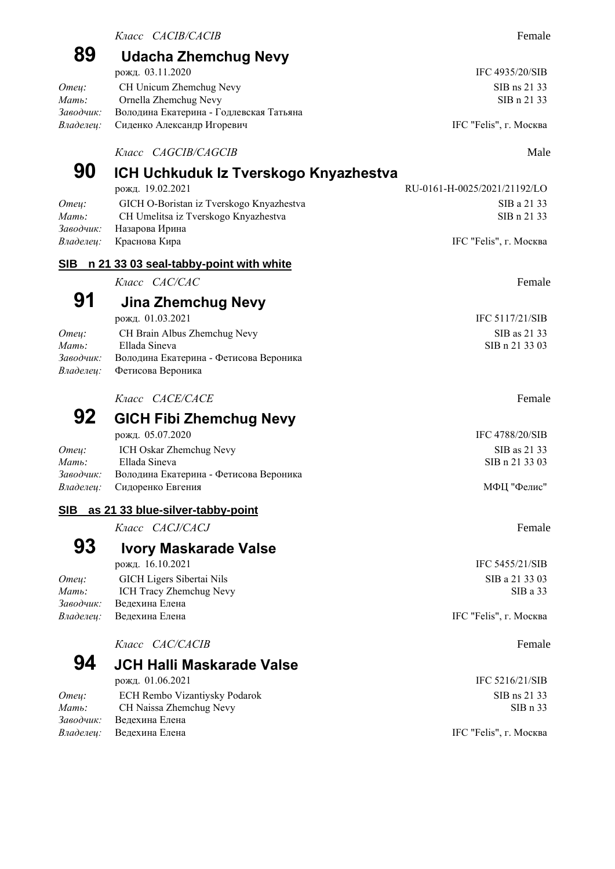### **89 Udacha Zhemchug Nevy** рожд. 03.11.2020 **IFC 4935/20/SIB**

|                                             | SIB ns 21 33            |
|---------------------------------------------|-------------------------|
| Ornella Zhemchug Nevy                       | SIB n 21 33             |
| Володина Екатерина - Годлевская Татьяна     |                         |
| <i>Владелец:</i> Сиденко Александр Игоревич | IFC "Felis", г. Москва  |
|                                             | CH Unicum Zhemchug Nevy |

*Класс CAGCIB/CAGCIB* Male

| 90        | ICH Uchkuduk Iz Tverskogo Knyazhestva    |                              |
|-----------|------------------------------------------|------------------------------|
|           | рожд. 19.02.2021                         | RU-0161-H-0025/2021/21192/LO |
| Omeu:     | GICH O-Boristan iz Tverskogo Knyazhestva | SIB a 21 33                  |
| Мать:     | CH Umelitsa iz Tverskogo Knyazhestva     | SIB n 21 33                  |
| Заводчик: | Назарова Ирина                           |                              |
| Владелец: | Краснова Кира                            | IFC "Felis", г. Москва       |
| SIB       | n 21 33 03 seal-tabby-point with white   |                              |
|           | Класс <i>CAC/CAC</i>                     | Female                       |
| 91        | Jina Zhemchug Nevy                       |                              |
|           | рожд. 01.03.2021                         | IFC $5117/21/SIB$            |
| Отец:     | CH Brain Albus Zhemchug Nevy             | SIB as 21 33                 |
| Мать:     | Ellada Sineva                            | SIB n 21 33 03               |
| Заводчик: | Володина Екатерина - Фетисова Вероника   |                              |
| Владелец: | Фетисова Вероника                        |                              |
|           | Класс <i>CACE/CACE</i>                   | Female                       |
| nη        |                                          |                              |

**92 GICH Fibi Zhemchug Nevy**

| $POMA$ . $UJ. U1. ZUZU$                             | $11^\circ$ C + / 00/20/01D |
|-----------------------------------------------------|----------------------------|
| ICH Oskar Zhemchug Nevy                             | SIB as 21 33               |
| Ellada Sineva                                       | SIB n 21 33 03             |
| Володина Екатерина - Фетисова Вероника<br>Заводчик: |                            |
| <i>Владелеи:</i> Сидоренко Евгения                  | МФП "Фелис"                |
|                                                     |                            |

### **SIB as 21 33 blue-silver-tabby-point**

*Класс CACJ/CACJ* Female

### **93 Ivory Maskarade Valse**

*Заводчик:* Ведехина Елена

#### *Класс CAC/CACIB* Female

### **94 JCH Halli Maskarade Valse**

|           | рожд. 01.06.2021              | IFC 5216/21/SIB        |
|-----------|-------------------------------|------------------------|
| Omeu:     | ECH Rembo Vizantiysky Podarok | SIB ns 21 33           |
| Мать:     | CH Naissa Zhemchug Nevy       | SIBn 33                |
| Заводчик: | Велехина Елена                |                        |
| Владелеи: | Ведехина Елена                | IFC "Felis", г. Москва |

рожд. 16.10.2021 **IFC 5455/21/SIB** *Omeu*: GICH Ligers Sibertai Nils SIB a 21 33 03 *Мать*: ICH Tracy Zhemchug Nevy SIB а 33

IFC 4788/20/SIB

*Владелец:* Ведехина Елена **IFC "Felis", г. Москва** IFC "Felis", г. Москва

IFC 5216/21/SIB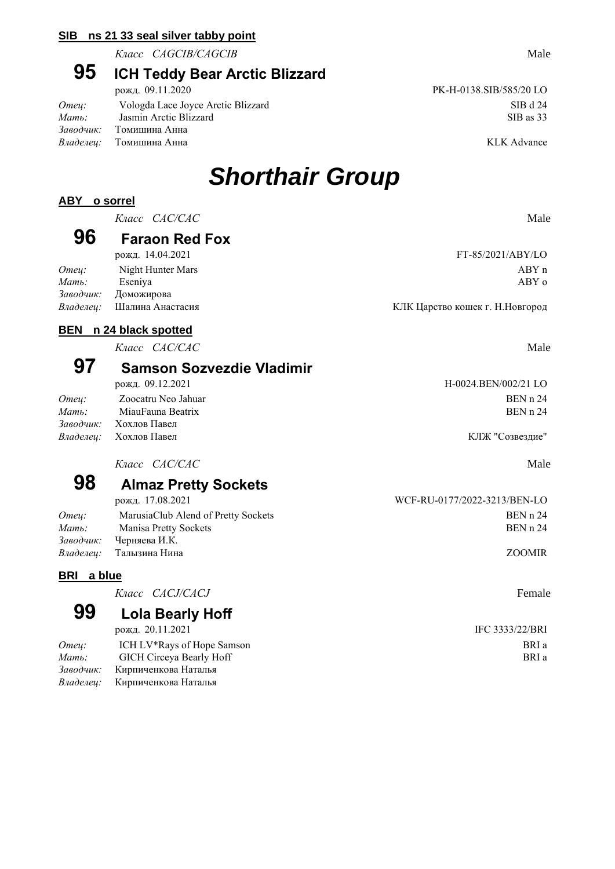#### **SIB ns 21 33 seal silver tabby point**

*Класс CAGCIB/CAGCIB* Male

### **95 ICH Teddy Bear Arctic Blizzard**

|                                      | рожд. 09.11.2020                   | PK-H-0138.SIB/585/20 LO |
|--------------------------------------|------------------------------------|-------------------------|
| Omeu:                                | Vologda Lace Joyce Arctic Blizzard | SIB d 24                |
| $M$ <i>am</i> $\ddot{\phantom{a}}$ : | Jasmin Arctic Blizzard             | SIB as 33               |
| Заводчик:                            | Томишина Анна                      |                         |
|                                      | <i>Владелеи:</i> Томишина Анна     | KLK Advance             |

РК-Н-0138.SIB/585/20 LO

## *Shorthair Group*

#### **ABY o sorrel**

*Класс CAC/CAC* Male

### **96 Faraon Red Fox**

|       | рожд. 14.04.2021           | FT-85/2021/ABY/LO                |
|-------|----------------------------|----------------------------------|
| Omeu: | Night Hunter Mars          | ABYn                             |
| Мать: | Eseniva                    | ABY c                            |
|       | Заводчик: Доможирова       |                                  |
|       | Владелеи: Шалина Анастасия | КЛК Царство кошек г. Н. Новгород |

рожд. 14.04.2021 FT-85/2021/ABY/LO

*Владелец:* Шалина Анастасия КЛК Царство кошек г. Н.Новгород

### **BEN n 24 black spotted**

*Класс CAC/CAC* Male

### **97 Samson Sozvezdie Vladimir**

| рожд. 09.12.2021    | H-0024.BEN/002/21 LO                                    |
|---------------------|---------------------------------------------------------|
| Zoocatru Neo Jahuar | BEN n 24                                                |
| MiauFauna Beatrix   | BEN n 24                                                |
|                     |                                                         |
|                     | КЛЖ "Созвездие"                                         |
|                     | Заводчик: Хохлов Павел<br><i>Владелеи:</i> Хохлов Павел |

*Класс CAC/CAC* Male

## **98 Almaz Pretty Sockets**

| рожд. 17.08.2021                    | WCF-RU-0177/2022-3213/BEN-LO |
|-------------------------------------|------------------------------|
| MarusiaClub Alend of Pretty Sockets | BEN n 24                     |
| Manisa Pretty Sockets               | BEN n 24                     |
| Черняева И.К.                       |                              |
| <i>Владелеи:</i> Палызина Нина      | <b>ZOOMIR</b>                |
|                                     |                              |

#### **BRI a blue**

*Класс CACJ/CACJ* Female

### **99 Lola Bearly Hoff**

рожд. 20.11.2021 **IFC 3333/22/BRI** *Отец:* ICH LV\*Rays of Hope Samson BRI a *Mamь*: GICH Circeya Bearly Hoff BRI a

*Заводчик:* Кирпиченкова Наталья *Владелец:* Кирпиченкова Наталья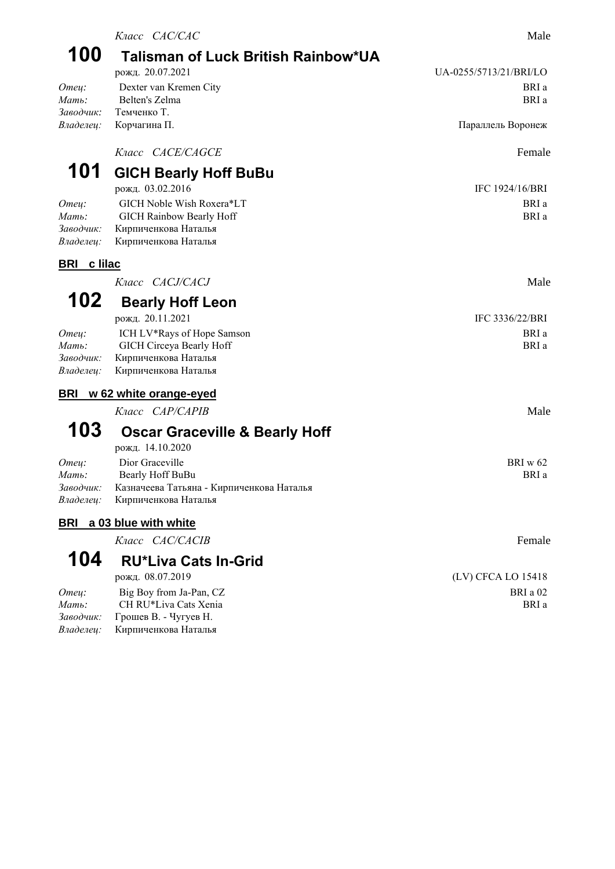|                              | Класс САС/САС                                                 | Male                   |
|------------------------------|---------------------------------------------------------------|------------------------|
| 100                          | Talisman of Luck British Rainbow*UA                           |                        |
|                              | рожд. 20.07.2021                                              | UA-0255/5713/21/BRI/LO |
| Omey:<br>Мать:               | Dexter van Kremen City<br>Belten's Zelma                      | BRI a<br>BRI a         |
| Заводчик:                    | Темченко Т.                                                   |                        |
| Владелец:                    | Корчагина П.                                                  | Параллель Воронеж      |
|                              | Knacc CACE/CAGCE                                              | Female                 |
| 101                          | <b>GICH Bearly Hoff BuBu</b>                                  |                        |
|                              | рожд. 03.02.2016                                              | IFC 1924/16/BRI        |
| Omey:                        | GICH Noble Wish Roxera*LT                                     | BRI a                  |
| Мать:<br>Заводчик:           | GICH Rainbow Bearly Hoff                                      | BRI a                  |
| Владелец:                    | Кирпиченкова Наталья<br>Кирпиченкова Наталья                  |                        |
| <b>BRI</b><br><u>c lilac</u> |                                                               |                        |
|                              | Knacc CACJ/CACJ                                               | Male                   |
| 102                          | <b>Bearly Hoff Leon</b>                                       |                        |
|                              | рожд. 20.11.2021                                              | IFC 3336/22/BRI        |
| Отец:                        | ICH LV*Rays of Hope Samson                                    | BRI a                  |
| Мать:<br>Заводчик:           | GICH Circeya Bearly Hoff                                      | BRI a                  |
| Владелец:                    | Кирпиченкова Наталья<br>Кирпиченкова Наталья                  |                        |
| <b>BRI</b>                   | w 62 white orange-eyed                                        |                        |
|                              | Класс <i>CAP/CAPIB</i>                                        | Male                   |
| 103                          | <b>Oscar Graceville &amp; Bearly Hoff</b>                     |                        |
|                              | рожд. 14.10.2020                                              |                        |
| Отец:<br>Мать:               | Dior Graceville                                               | BRI w 62<br>BRI a      |
| Заводчик:                    | Bearly Hoff BuBu<br>Казначеева Татьяна - Кирпиченкова Наталья |                        |
| Владелец:                    | Кирпиченкова Наталья                                          |                        |
| <b>BRI</b>                   | a 03 blue with white                                          |                        |
|                              | Knacc CAC/CACIB                                               | Female                 |
| 104                          | <b>RU*Liva Cats In-Grid</b>                                   |                        |
|                              | рожд. 08.07.2019                                              | (LV) CFCA LO 15418     |
| Omey:                        | Big Boy from Ja-Pan, CZ                                       | BRI a 02               |
| Мать:<br>Заводчик:           | CH RU*Liva Cats Xenia<br>Грошев В. - Чугуев Н.                | BRI a                  |
|                              |                                                               |                        |

*Владелец:* Кирпиченкова Наталья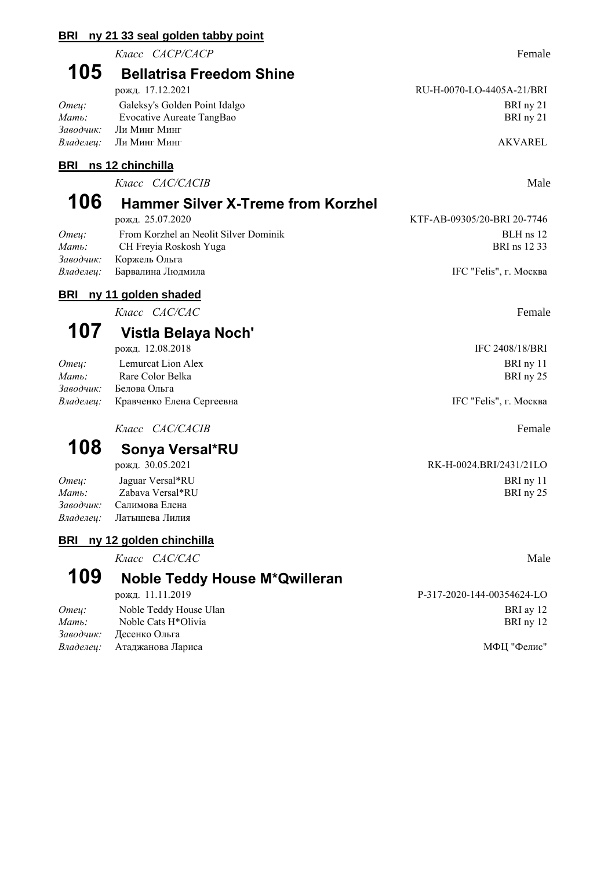#### **BRI ny 21 33 seal golden tabby point**

*Класс CACP/CACP* Female

## **105 Bellatrisa Freedom Shine**

|           | рожд. 17.12.2021              | RU-H-0070-LO-4405A-21/BRI |
|-----------|-------------------------------|---------------------------|
| Omeu:     | Galeksy's Golden Point Idalgo | BRI nv 21                 |
| Мать:     | Evocative Aureate TangBao     | BRI ny 21                 |
| Заводчик: | Ли Минг Минг                  |                           |
|           | <i>Владелец:</i> Ли Минг Минг | AKVAREL                   |

#### **BRI ns 12 chinchilla**

*Класс CAC/CACIB* Male

### **106 Hammer Silver X-Treme from Korzhel** рожд. 25.07.2020 KTF-AB-09305/20-BRI 20-7746

| Omeu: | From Korzhel an Neolit Silver Dominik | BLH ns 12              |
|-------|---------------------------------------|------------------------|
| Мать: | CH Freyia Roskosh Yuga                | BRI ns 12 33           |
|       | Заводчик: Коржель Ольга               |                        |
|       | Владелеи: Барвалина Людмила           | IFC "Felis", г. Москва |

### **BRI ny 11 golden shaded**

*Класс CAC/CAC* Female

### **107 Vistla Belaya Noch'**

рожд. 12.08.2018 IFC 2408/18/BRI *Omey:* Lemurcat Lion Alex BRI ny 11

| Мать: | Rare Color Belka                           | BRI ny 25              |
|-------|--------------------------------------------|------------------------|
|       | <i>Заводчик:</i> Белова Ольга              |                        |
|       | <i>Владелец:</i> Кравченко Елена Сергеевна | IFC "Felis", г. Москва |

*Класс CAC/CACIB* Female

# **108 Sonya Versal\*RU**

*Отец:* Jaguar Versal\*RU BRI ny 11 *Мать:* Zabava Versal\*RU BRI ny 25 *Заводчик:* Салимова Елена *Владелец:* Латышева Лилия

### **BRI ny 12 golden chinchilla**

*Класс CAC/CAC* Male

### **109 Noble Teddy House M\*Qwilleran**

| рожд. 11.11.2019                   | --317-2020-144-00334624-LU |
|------------------------------------|----------------------------|
| Noble Teddy House Ulan             | BRI ay 12                  |
| Noble Cats H <sup>*</sup> Olivia   | BRI ny 12                  |
| Заводчик: Десенко Ольга            |                            |
| <i>Владелеи:</i> Атаджанова Лариса | МФП "Фелис"                |
|                                    |                            |

RK-H-0024.BRI/2431/21LO

| рожд. 11.11.2019       | P-317-2020-144-00354624-LO |
|------------------------|----------------------------|
| Noble Teddy House Ulan | BRI av 12                  |
| Noble Cats H*Olivia    | BRI ny 12                  |

RU-H-0070-LO-4405A-21/BRI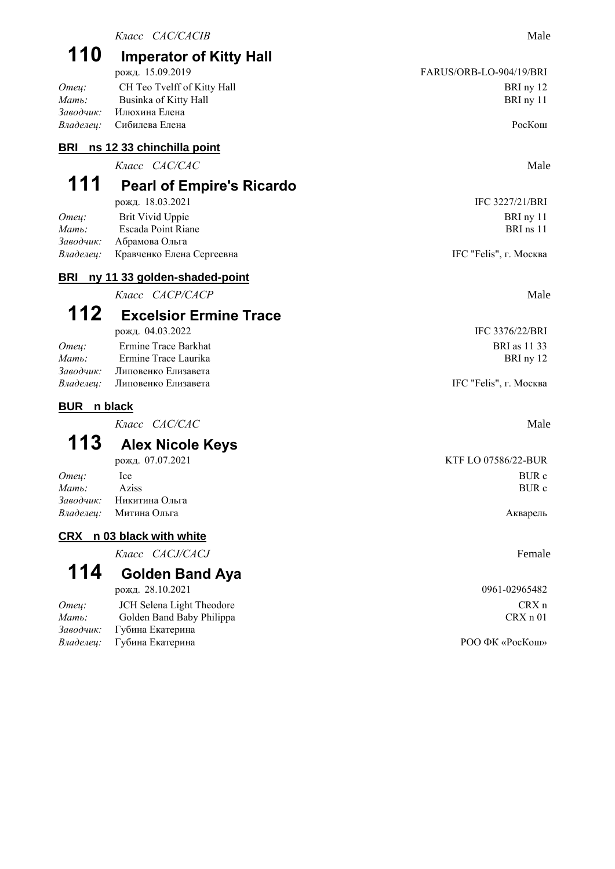# **110 Imperator of Kitty Hall**

|       | рожд. 13.09.2019                | FARUS/URB-LU-904/19/BRI |
|-------|---------------------------------|-------------------------|
| Omeu: | CH Teo Tvelff of Kitty Hall     | BRI ny 12               |
| Мать: | Businka of Kitty Hall           | BRI ny 11               |
|       | Заводчик: Илюхина Елена         |                         |
|       | <i>Владелеи:</i> Сибилева Елена | PocKom                  |

### **BRI ns 12 33 chinchilla point**

*Класс CAC/CAC* Male

## **111 Pearl of Empire's Ricardo**

| рожд. 18.03.2021          | IFC 3227/21/BRI        |
|---------------------------|------------------------|
| Brit Vivid Uppie          | BRI ny 11              |
| Escada Point Riane        | BRI ns 11              |
| Абрамова Ольга            |                        |
| Кравченко Елена Сергеевна | IFC "Felis", г. Москва |
|                           |                        |

### **BRI ny 11 33 golden-shaded-point**

*Класс CACP/CACP* Male

## **112 Excelsior Ermine Trace**

| Omeu: | Ermine Trace Barkhat                 | <b>BRI</b> as 11 33    |
|-------|--------------------------------------|------------------------|
| Мать: | Ermine Trace Laurika                 | BRI nv 12              |
|       | Заводчик: Липовенко Елизавета        |                        |
|       | <i>Владелеи:</i> Липовенко Елизавета | IFC "Felis", г. Москва |

### **BUR n black**

*Класс CAC/CAC* Male

### **113 Alex Nicole Keys**

|       | рожд. 07.07.2021                | <b>KTF LO 07586/22-BUR</b> |
|-------|---------------------------------|----------------------------|
| Omeu: | <sub>1</sub> ce                 | BUR c                      |
| Мать: | Aziss                           | <b>BUR</b> c               |
|       | <i>Заводчик:</i> Никитина Ольга |                            |
|       | <i>Владелеи:</i> Митина Ольга   | Акварель                   |

### **CRX n 03 black with white**

*Класс CACJ/CACJ* Female

**114 Golden Band Aya**

### рожд. 28.10.2021 0961-02965482

| Omeu: | JCH Selena Light Theodore         | $CRX$ n         |
|-------|-----------------------------------|-----------------|
| Мать: | Golden Band Baby Philippa         | CRX n 01        |
|       | Заводчик: Губина Екатерина        |                 |
|       | <i>Владелеи:</i> Губина Екатерина | РОО ФК «РосКош» |

IFC 3227/21/BRI

рожд. 04.03.2022 IFC 3376/22/BRI **BRI** as 11 33

IFC "Felis", г. Москва

КТF LO 07586/22-BUR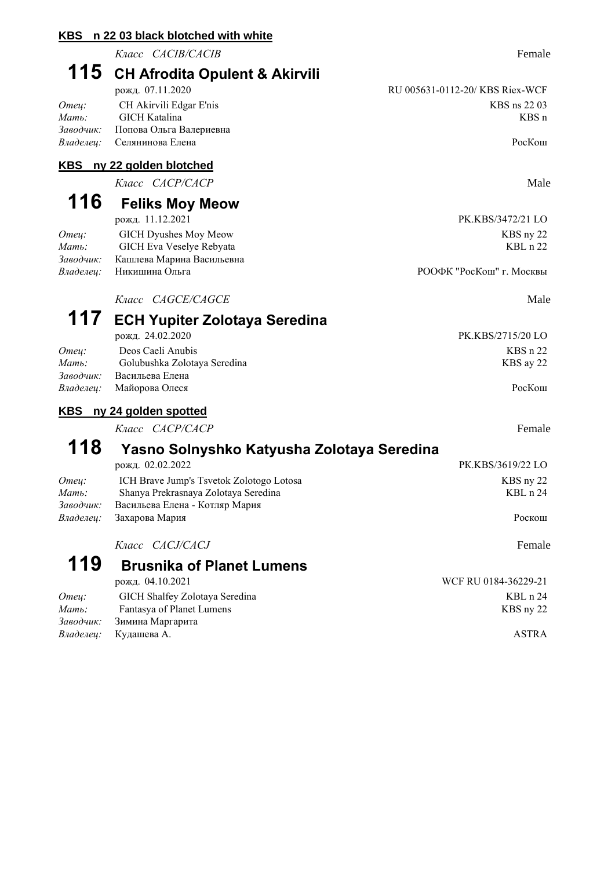**KBS n 22 03 black blotched with white** *Класс CACIB/CACIB* Female **115 CH Afrodita Opulent & Akirvili** рожд. 07.11.2020 RU 005631-0112-20/ KBS Riex-WCF *Omeu*: CH Akirvili Edgar E'nis CH Akirvili Edgar E'nis CH Akirvili Edgar E'nis CH Akirvili Edgar E'nis CH Akirvili Edgar E'nis CH Akirvili Edgar E'nis CH Akirvili Edgar E'nis CH Akirvili Edgar E'nis CH Akirvili Edgar E'ni *Мать:* GICH Katalina KBS n *Заводчик:* Попова Ольга Валериевна *Владелец:* Селянинова Елена РосКош **KBS ny 22 golden blotched** *Класс CACP/CACP* Male **116 Feliks Moy Meow** рожд. 11.12.2021 PK.KBS/3472/21 LO *Отец:* GICH Dyushes Moy Meow KBS ny 22 *Мать:* GICH Eva Veselye Rebyata KBL n 22 *Заводчик:* Кашлева Марина Васильевна *Владелец:* Никишина Ольга РООФК "РосКош" г. Москвы *Класс CAGCE/CAGCE* Male **117 ECH Yupiter Zolotaya Seredina** рожд. 24.02.2020 PK.KBS/2715/20 LO *Omeu*: Deos Caeli Anubis KBS n 22 *Мать:* Golubushka Zolotaya Seredina KBS ay 22 *Заводчик:* Васильева Елена *Владелец:* Майорова Олеся РосКош **KBS ny 24 golden spotted** *Класс CACP/CACP* Female **118 Yasno Solnyshko Katyusha Zolotaya Seredina** рожд. 02.02.2022 РК.KBS/3619/22 LO *Omey*: ICH Brave Jump's Tsvetok Zolotogo Lotosa KBS ny 22 *Mamь*: Shanya Prekrasnaya Zolotaya Seredina KBL n 24 *Заводчик:* Васильева Елена - Котляр Мария *Владелец:* Захарова Мария Роскош

*Класс CACJ/CACJ* Female

#### **119 Brusnika of Planet Lumens** рожд. 04.10.2021 WCF RU 0184-36229-21 *Omeu*: GICH Shalfey Zolotaya Seredina **KBL n 24** KBL n 24 *Мать:* Fantasya of Planet Lumens KBS ny 22 *Заводчик:* Зимина Маргарита *Владелец:* Кудашева А. ASTRA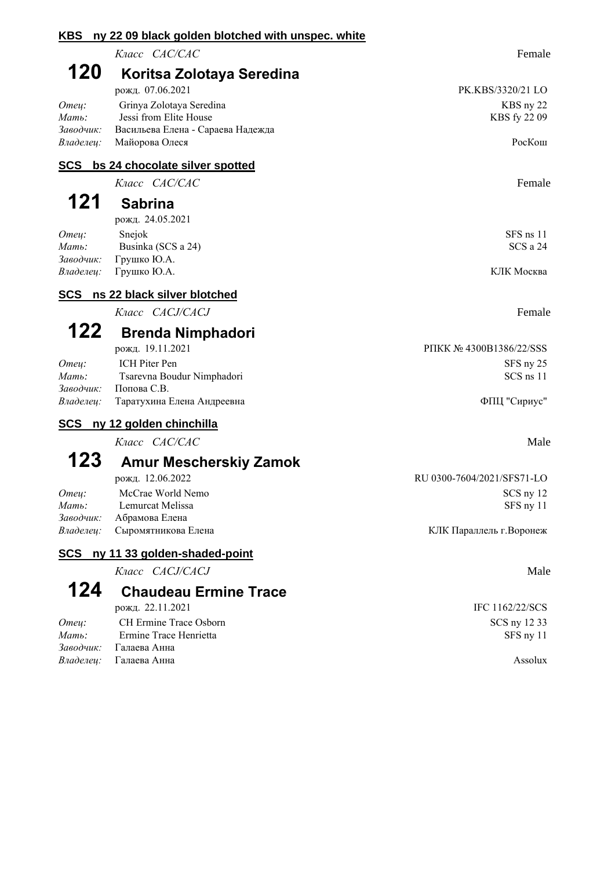| <b>KBS</b>             | ny 22 09 black golden blotched with unspec. white |                            |
|------------------------|---------------------------------------------------|----------------------------|
|                        | Класс САС/САС                                     | Female                     |
| 120                    | Koritsa Zolotaya Seredina                         |                            |
|                        | рожд. 07.06.2021                                  | PK.KBS/3320/21 LO          |
| Omey:                  | Grinya Zolotaya Seredina                          | KBS ny 22                  |
| Мать:                  | Jessi from Elite House                            | KBS fy 22 09               |
| Заводчик:              | Васильева Елена - Сараева Надежда                 |                            |
| Владелец:              | Майорова Олеся                                    | РосКош                     |
|                        | SCS bs 24 chocolate silver spotted                |                            |
|                        | Класс САС/САС                                     | Female                     |
| 121                    | <b>Sabrina</b>                                    |                            |
|                        | рожд. 24.05.2021                                  |                            |
| Omey:                  | Snejok                                            | $SFS$ ns 11                |
| Мать:                  | Businka (SCS a 24)                                | SCS a 24                   |
| Заводчик:              | Грушко Ю.А.                                       | КЛК Москва                 |
| Владелец:              | Грушко Ю.А.                                       |                            |
| <b>SCS</b>             | ns 22 black silver blotched                       |                            |
|                        | Класс CACJ/CACJ                                   | Female                     |
| 122                    | <b>Brenda Nimphadori</b>                          |                            |
|                        | рожд. 19.11.2021                                  | PIIKK № 4300B1386/22/SSS   |
| Отец:                  | ICH Piter Pen                                     | SFS ny 25                  |
| Мать:                  | Tsarevna Boudur Nimphadori                        | SCS ns 11                  |
| Заводчик:              | Попова С.В.                                       |                            |
| Владелец:              | Таратухина Елена Андреевна                        | ФПЦ "Сириус"               |
|                        | SCS ny 12 golden chinchilla                       |                            |
|                        | Класс САС/САС                                     | Male                       |
| 123                    | <b>Amur Mescherskiy Zamok</b>                     |                            |
|                        | рожд. 12.06.2022                                  | RU 0300-7604/2021/SFS71-LO |
| Omey:                  | McCrae World Nemo                                 | SCS ny 12                  |
| Мать:                  | Lemurcat Melissa                                  | SFS ny 11                  |
| Заводчик:<br>Владелец: | Абрамова Елена<br>Сыромятникова Елена             | КЛК Параллель г. Воронеж   |
|                        |                                                   |                            |
| <u>SCS</u>             | ny 11 33 golden-shaded-point                      |                            |
|                        | Класс CACJ/CACJ                                   | Male                       |
| 124                    | <b>Chaudeau Ermine Trace</b>                      |                            |
|                        | рожд. 22.11.2021                                  | IFC 1162/22/SCS            |
| Отец:                  | CH Ermine Trace Osborn                            | SCS ny 12 33               |
| Мать:                  | Ermine Trace Henrietta                            | SFS ny 11                  |

*Заводчик:* Галаева Анна

*Владелец:* Галаева Анна **Assolux** Assolux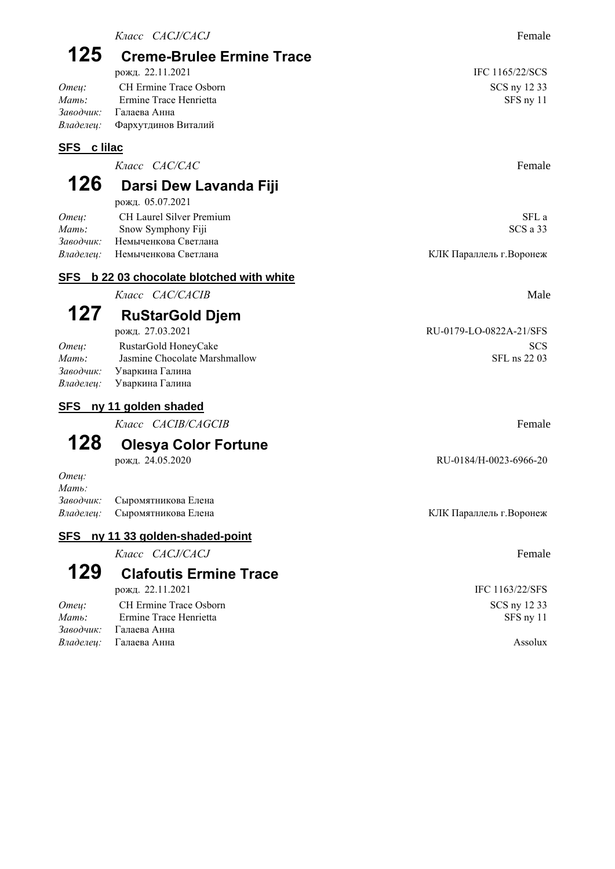*Заводчик:* Галаева Анна *Владелец:* Фархутдинов Виталий

### **SFS c lilac**

*Класс CAC/CAC* Female

#### **126 Darsi Dew Lavanda Fiji**  $05.07.2021$

|           | рожд. 05.07.2021               |                          |
|-----------|--------------------------------|--------------------------|
| Omeu:     | CH Laurel Silver Premium       | SFL a                    |
| Мать:     | Snow Symphony Fiji             | SCS a 33                 |
| Заводчик: | Немыченкова Светлана           |                          |
|           | Владелеи: Немыченкова Светлана | КЛК Параллель г. Воронеж |

### **SFS b 22 03 chocolate blotched with white**

*Класс CAC/CACIB* Male

## **127 RuStarGold Djem**

| рожд. 27.03.2021                 | RU-0179-LO-0822A-21/SFS |
|----------------------------------|-------------------------|
| RustarGold HoneyCake             | <b>SCS</b>              |
| Jasmine Chocolate Marshmallow    | SFL ns 22 03            |
| <i>Заводчик:</i> Уваркина Галина |                         |
| Уваркина Галина                  |                         |
|                                  |                         |

### **SFS ny 11 golden shaded**

*Класс CACIB/CAGCIB* Female

# **128 Olesya Color Fortune**

*Отец: Мать:*

*Заводчик:* Сыромятникова Елена *Владелец:* Сыромятникова Елена КЛК Параллель г. Воронеж

### **SFS ny 11 33 golden-shaded-point**

*Класс CACJ/CACJ* Female

### **129 Clafoutis Ermine Trace** рожд. 22.11.2021 IFC 1163/22/SFS

| CH Ermine Trace Osborn        | SCS ny 12 33 |
|-------------------------------|--------------|
| Ermine Trace Henrietta        | SFS ny 11    |
| Заводчик: Галаева Анна        |              |
| <i>Владелеи:</i> Галаева Анна | Assolux      |
|                               |              |

рожд. 27.03.2021 RU-0179-LO-0822A-21/SFS *SFL* ns 22 03

рожд. 24.05.2020 RU-0184/H-0023-6966-20

**SCS** ny 12 33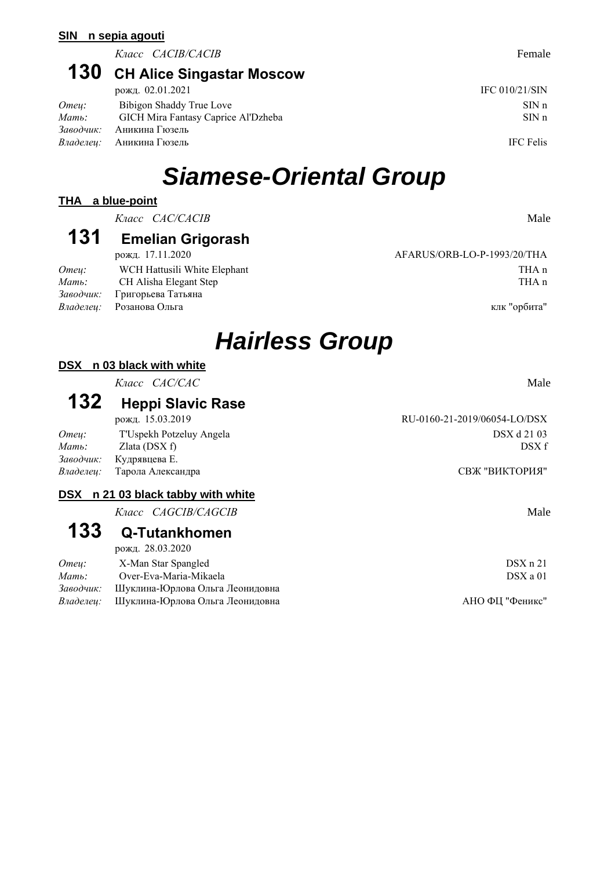#### **SIN n sepia agouti**

*Класс CACIB/CACIB* Female

## **130 CH Alice Singastar Moscow**

|           | рожд. 02.01.2021                    | IFC $010/21/SIN$ |
|-----------|-------------------------------------|------------------|
| Omeu:     | Bibigon Shaddy True Love            | SINn             |
| Мать:     | GICH Mira Fantasy Caprice Al'Dzheba | SINn             |
| Заводчик: | Аникина Гюзель                      |                  |
|           | Владелеи: Аникина Гюзель            | <b>IFC</b> Felis |

# *Siamese-Oriental Group*

#### **THA a blue-point**

*Класс CAC/CACIB* Male

### **131 Emelian Grigorash**

|       | рожд. 17.11.2020                | AFARUS/ORB-LO-P-1993/20/THA |
|-------|---------------------------------|-----------------------------|
| Omeu: | WCH Hattusili White Elephant    | THA n                       |
| Мать: | CH Alisha Elegant Step          | THA n                       |
|       | Заводчик: Григорьева Татьяна    |                             |
|       | <i>Владелеи:</i> Розанова Ольга | клк "орбита"                |

AFARUS/ORB-LO-P-1993/20/THA

# *Hairless Group*

#### **DSX n 03 black with white**

*Класс CAC/CAC* Male

### **132 Heppi Slavic Rase**

*Omey:* T'Uspekh Potzeluy Angela DSX d 21 03 *Мать:* Zlata (DSX f) DSX f *Заводчик:* Кудрявцева Е. *Владелец:* Тарола Александра СВЖ "ВИКТОРИЯ"

#### **DSX n 21 03 black tabby with white**

*Класс CAGCIB/CAGCIB* Male

### **133 Q-Tutankhomen**

рожд. 28.03.2020

| Omeu:    | X-Man Star Spangled                              | DSX n 21        |
|----------|--------------------------------------------------|-----------------|
| $M$ ать: | Over-Eva-Maria-Mikaela                           | DSX a 01        |
|          | Заводчик: Шуклина-Юрлова Ольга Леонидовна        |                 |
|          | <i>Владелеи:</i> Шуклина-Юрлова Ольга Леонидовна | АНО ФП "Феникс" |

рожд. 15.03.2019 RU-0160-21-2019/06054-LO/DSX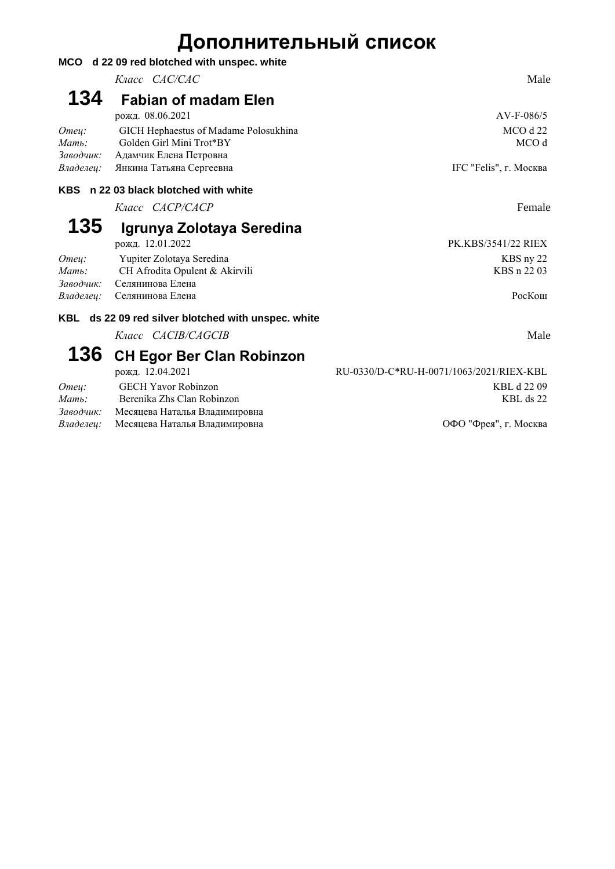## **Дополнительный список**

|                             | MCO d 22 09 red blotched with unspec. white                                                 |                          |
|-----------------------------|---------------------------------------------------------------------------------------------|--------------------------|
|                             | Класс <i>CAC/CAC</i>                                                                        | Male                     |
| 134                         | <b>Fabian of madam Elen</b>                                                                 |                          |
|                             | рожд. 08.06.2021                                                                            | $AV-F-086/5$             |
| Omeu:<br>Мать:<br>Заводчик: | GICH Hephaestus of Madame Polosukhina<br>Golden Girl Mini Trot*BY<br>Адамчик Елена Петровна | $MCO$ d 22<br>MCO d      |
| Владелец:                   | Янкина Татьяна Сергеевна                                                                    | IFC "Felis", г. Москва   |
| <b>KBS</b>                  | n 22 03 black blotched with white                                                           |                          |
|                             | Класс <i>САСР/САСР</i>                                                                      | Female                   |
| 135                         | Igrunya Zolotaya Seredina                                                                   |                          |
|                             | рожд. 12.01.2022                                                                            | PK.KBS/3541/22 RIEX      |
| Omeu:<br>Мать:<br>Заводчик: | Yupiter Zolotaya Seredina<br>CH Afrodita Opulent & Akirvili<br>Селянинова Елена             | KBS ny 22<br>KBS n 22 03 |
| Владелец:                   | Селянинова Елена                                                                            | PocKom                   |
| KRI                         | de 22.00 red eilver blotched with unenee, white                                             |                          |

- **KBL ds 22 09 red silver blotched with unspec. white**
	- *Класс CACIB/CAGCIB* Male

### **136 CH Egor Ber Clan Robinzon**

*Заводчик:* Месяцева Наталья Владимировна *Владелец:* Месяцева Наталья Владимировна ОФО "Фрея", г. Москва

рожд. 12.04.2021 RU-0330/D-C\*RU-H-0071/1063/2021/RIEX-KBL *Отец:* GECH Yavor Robinzon KBL d 22 09 *Mamь*: Berenika Zhs Clan Robinzon **KBL** ds 22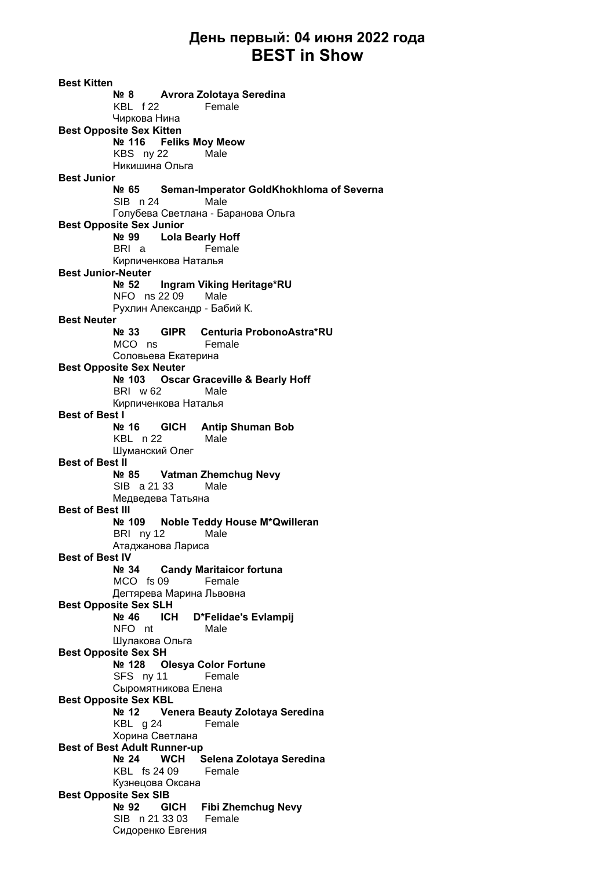### **День первый: 04 июня 2022 года BEST in Show**

**Best Kitten № 8 Avrora Zolotaya Seredina** KBL f 22 Female Чиркова Нина **Best Opposite Sex Kitten № 116 Feliks Moy Meow** KBS ny 22 Male Никишина Ольга **Best Junior № 65 Seman-Imperator GoldKhokhloma of Severna** SIB n 24 Male Голубева Светлана - Баранова Ольга **Best Opposite Sex Junior № 99 Lola Bearly Hoff** BRI a Female Кирпиченкова Наталья **Best Junior-Neuter № 52 Ingram Viking Heritage\*RU** NFO ns 22 09 Male Рухлин Александр - Бабий К. **Best Neuter № 33 GIPR Centuria ProbonoAstra\*RU** MCO ns Female Соловьева Екатерина **Best Opposite Sex Neuter № 103 Oscar Graceville & Bearly Hoff** BRI w 62 Male Кирпиченкова Наталья **Best of Best I № 16 GICH Antip Shuman Bob** KBL n 22 Male Шуманский Олег **Best of Best II № 85 Vatman Zhemchug Nevy** SIB a 21 33 Male Медведева Татьяна **Best of Best III № 109 Noble Teddy House M\*Qwilleran** BRI ny 12 Male Атаджанова Лариса **Best of Best IV № 34 Candy Maritaicor fortuna** MCO fs 09 Female Дегтярева Марина Львовна **Best Opposite Sex SLH № 46 ICH D\*Felidae's Evlampij** NFO nt Male Шулакова Ольга **Best Opposite Sex SH № 128 Olesya Color Fortune** SFS ny 11 Female Сыромятникова Елена **Best Opposite Sex KBL № 12 Venera Beauty Zolotaya Seredina** KBL g 24 Female Хорина Светлана **Best of Best Adult Runner-up № 24 WCH Selena Zolotaya Seredina** KBL fs 24 09 Female Кузнецова Оксана **Best Opposite Sex SIB № 92 GICH Fibi Zhemchug Nevy** SIB n 21 33 03 Female Сидоренко Евгения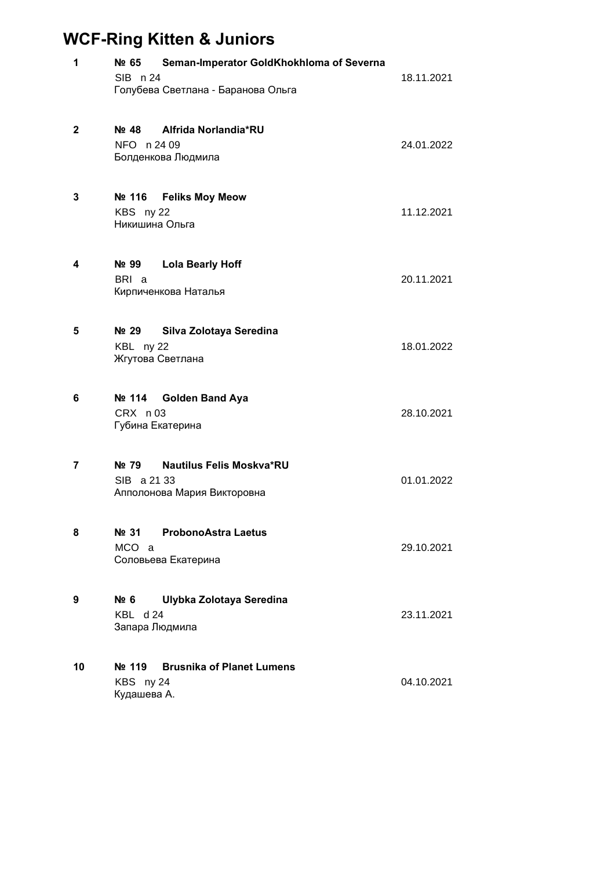## **WCF-Ring Kitten & Juniors**

| 1            | Nº 65<br>SIB n 24                              | Seman-Imperator GoldKhokhloma of Severna<br>Голубева Светлана - Баранова Ольга | 18.11.2021 |
|--------------|------------------------------------------------|--------------------------------------------------------------------------------|------------|
| $\mathbf{2}$ | Nº 48<br>NFO n 24 09                           | Alfrida Norlandia*RU<br>Болденкова Людмила                                     | 24.01.2022 |
| 3            | KBS ny 22<br>Никишина Ольга                    | Nº 116 Feliks Moy Meow                                                         | 11.12.2021 |
| 4            | Nº 99<br>BRI a                                 | <b>Lola Bearly Hoff</b><br>Кирпиченкова Наталья                                | 20.11.2021 |
| 5            | Nº 29<br>KBL ny 22                             | Silva Zolotaya Seredina<br>Жгутова Светлана                                    | 18.01.2022 |
| 6            | Nº 114<br>CRX n03                              | <b>Golden Band Aya</b><br>Губина Екатерина                                     | 28.10.2021 |
| 7            | N <sub>2</sub> 79<br>SIB a 21 33               | <b>Nautilus Felis Moskva*RU</b><br>Апполонова Мария Викторовна                 | 01.01.2022 |
| 8            | Nº 31<br>MCO a                                 | <b>ProbonoAstra Laetus</b><br>Соловьева Екатерина                              | 29.10.2021 |
| 9            | Nº 6<br>KBL d 24<br>Запара Людмила             | Ulybka Zolotaya Seredina                                                       | 23.11.2021 |
| 10           | N <sub>2</sub> 119<br>KBS ny 24<br>Кудашева А. | <b>Brusnika of Planet Lumens</b>                                               | 04.10.2021 |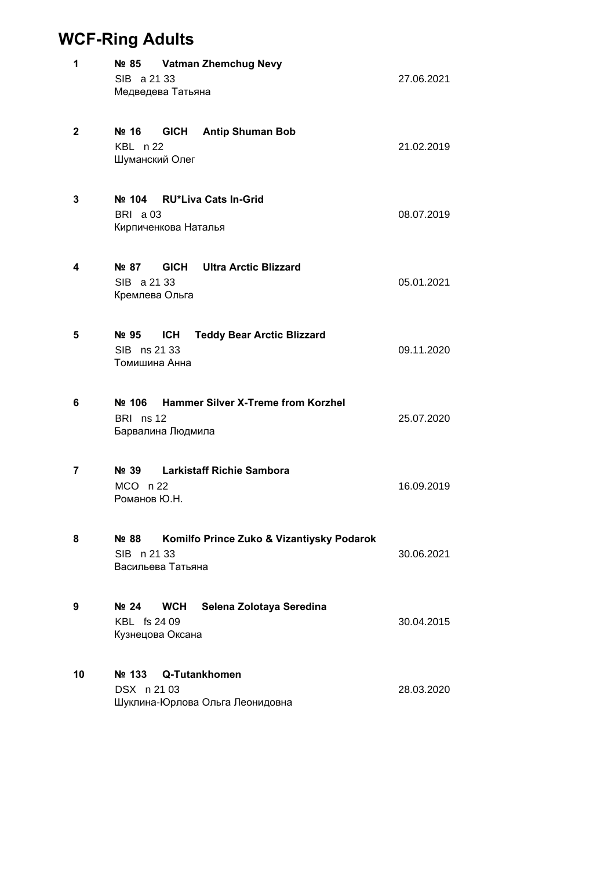### **WCF-Ring Adults**

| 1  | Nº 85<br>SIB a 21 33<br>Медведева Татьяна                              | <b>Vatman Zhemchug Nevy</b>                      | 27.06.2021 |
|----|------------------------------------------------------------------------|--------------------------------------------------|------------|
| 2  | Nº 16<br>KBL n 22<br>Шуманский Олег                                    | <b>GICH</b> Antip Shuman Bob                     | 21.02.2019 |
| 3  | Nº 104 RU*Liva Cats In-Grid<br><b>BRI</b> a 03<br>Кирпиченкова Наталья |                                                  | 08.07.2019 |
| 4  | Nº 87<br>SIB a 21 33<br>Кремлева Ольга                                 | <b>GICH</b> Ultra Arctic Blizzard                | 05.01.2021 |
| 5  | ICH<br>Nº 95<br>SIB ns 21 33<br>Томишина Анна                          | <b>Teddy Bear Arctic Blizzard</b>                | 09.11.2020 |
| 6  | Nº 106<br>BRI ns 12<br>Барвалина Людмила                               | <b>Hammer Silver X-Treme from Korzhel</b>        | 25.07.2020 |
| 7  | Nº 39<br>$MCO$ n 22<br>Романов Ю.Н.                                    | <b>Larkistaff Richie Sambora</b>                 | 16.09.2019 |
| 8  | Nº 88<br>SIB n 21 33<br>Васильева Татьяна                              | Komilfo Prince Zuko & Vizantiysky Podarok        | 30.06.2021 |
| 9  | No 24<br><b>WCH</b><br>KBL fs 24 09<br>Кузнецова Оксана                | Selena Zolotaya Seredina                         | 30.04.2015 |
| 10 | Nº 133<br>DSX n 21 03                                                  | Q-Tutankhomen<br>Шуклина-Юрлова Ольга Леонидовна | 28.03.2020 |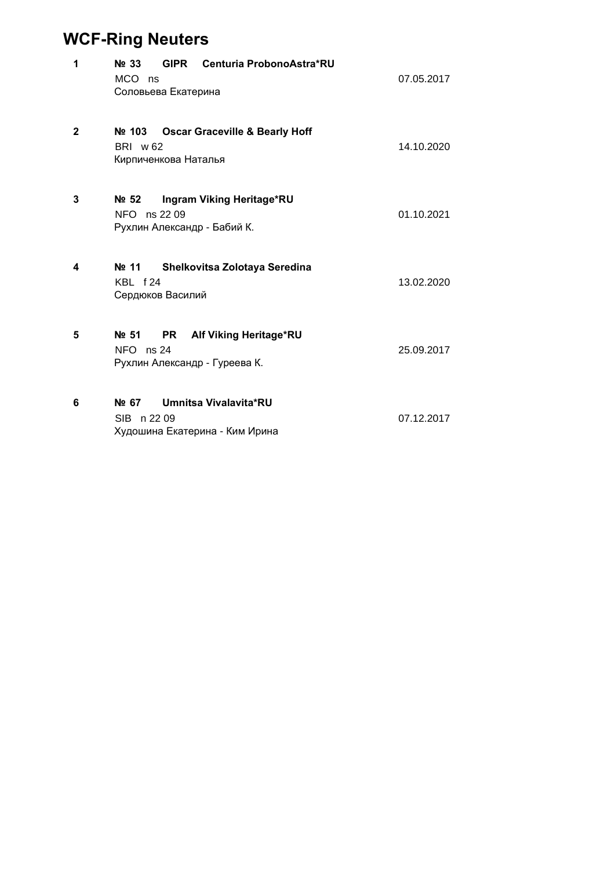## **WCF-Ring Neuters**

| 1            | GIPR Centuria ProbonoAstra*RU<br>No 33<br>MCO ns<br>Соловьева Екатерина                      | 07.05.2017 |
|--------------|----------------------------------------------------------------------------------------------|------------|
| $\mathbf{2}$ | <b>Oscar Graceville &amp; Bearly Hoff</b><br>Nº 103<br>BRI w 62<br>Кирпиченкова Наталья      | 14.10.2020 |
| 3            | Ne <sub>52</sub><br>Ingram Viking Heritage*RU<br>NFO ns 22 09<br>Рухлин Александр - Бабий К. | 01.10.2021 |
| 4            | Nº 11<br>Shelkovitsa Zolotaya Seredina<br>KBL f24<br>Сердюков Василий                        | 13.02.2020 |
| 5            | Alf Viking Heritage*RU<br>Nº 51<br><b>PR</b><br>$NFO$ ns 24<br>Рухлин Александр - Гуреева К. | 25.09.2017 |
| 6            | Umnitsa Vivalavita*RU<br>Nº 67<br>SIB n 22 09<br>Худошина Екатерина - Ким Ирина              | 07.12.2017 |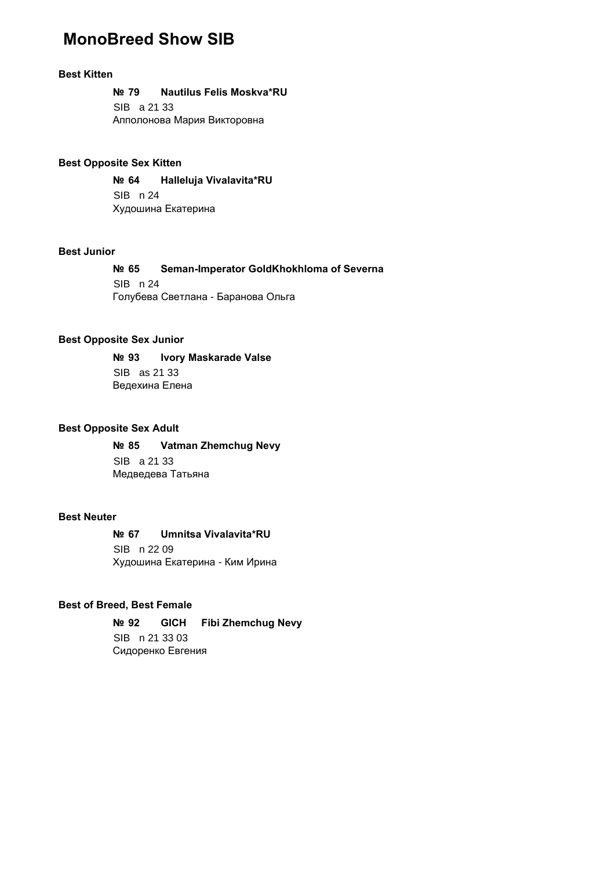### **MonoBreed Show SIB**

#### **Best Kitten**

**№ 79 Nautilus Felis Moskva\*RU**

SIB a 21 33 Апполонова Мария Викторовна

#### **Best Opposite Sex Kitten**

**№ 64 Halleluja Vivalavita\*RU** SIB n 24 Худошина Екатерина

#### **Best Junior**

#### **№ 65 Seman-Imperator GoldKhokhloma of Severna** SIB n 24 Голубева Светлана - Баранова Ольга

#### **Best Opposite Sex Junior**

**№ 93 Ivory Maskarade Valse** SIB as 21 33 Ведехина Елена

#### **Best Opposite Sex Adult**

**№ 85 Vatman Zhemchug Nevy** SIB a 21 33 Медведева Татьяна

#### **Best Neuter**

**№ 67 Umnitsa Vivalavita\*RU** SIB n 22 09 Худошина Екатерина - Ким Ирина

#### **Best of Breed, Best Female**

**№ 92 GICH Fibi Zhemchug Nevy** SIB n 21 33 03 Сидоренко Евгения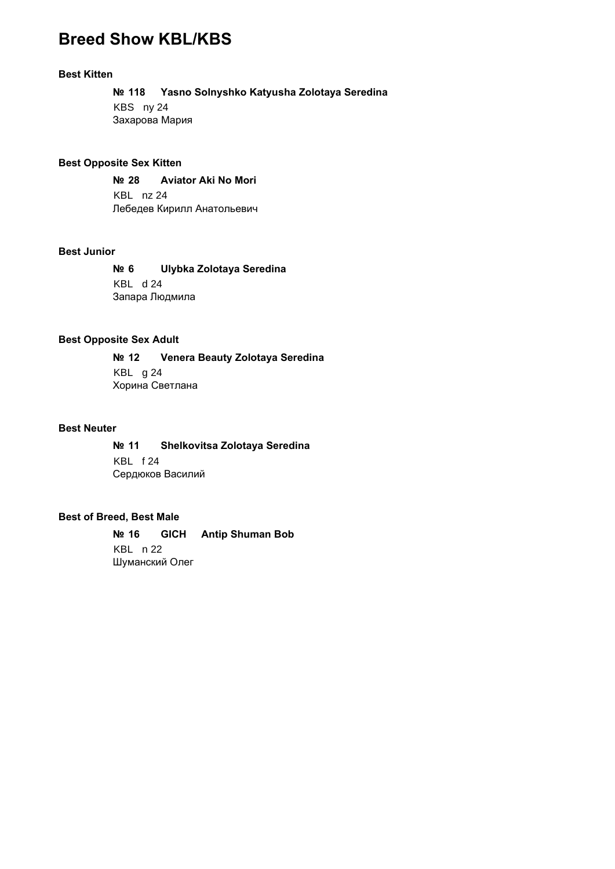### **Breed Show KBL/KBS**

#### **Best Kitten**

**№ 118 Yasno Solnyshko Katyusha Zolotaya Seredina** KBS ny 24 Захарова Мария

#### **Best Opposite Sex Kitten**

**№ 28 Aviator Aki No Mori** KBL nz 24 Лебедев Кирилл Анатольевич

#### **Best Junior**

**№ 6 Ulybka Zolotaya Seredina** KBL d 24 Запара Людмила

#### **Best Opposite Sex Adult**

**№ 12 Venera Beauty Zolotaya Seredina** KBL g 24 Хорина Светлана

#### **Best Neuter**

**№ 11 Shelkovitsa Zolotaya Seredina** KBL f 24 Сердюков Василий

#### **Best of Breed, Best Male**

**№ 16 GICH Antip Shuman Bob** KBL n 22 Шуманский Олег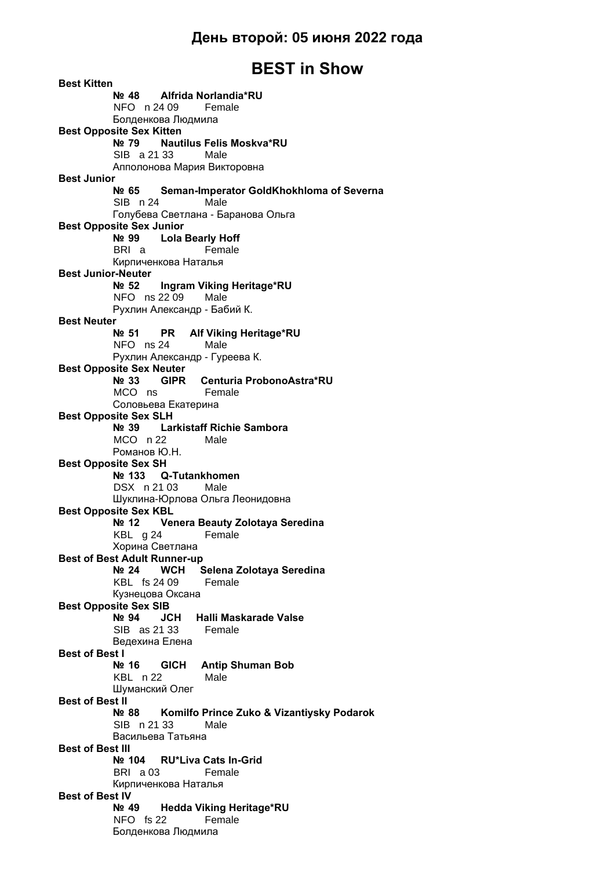### **BEST in Show**

**Best Kitten № 48 Alfrida Norlandia\*RU** NFO n 24 09 Female Болденкова Людмила **Best Opposite Sex Kitten № 79 Nautilus Felis Moskva\*RU** SIB a 21 33 Male Апполонова Мария Викторовна **Best Junior № 65 Seman-Imperator GoldKhokhloma of Severna** SIB n 24 Male Голубева Светлана - Баранова Ольга **Best Opposite Sex Junior № 99 Lola Bearly Hoff** BRI a Female Кирпиченкова Наталья **Best Junior-Neuter № 52 Ingram Viking Heritage\*RU** NFO ns 22 09 Male Рухлин Александр - Бабий К. **Best Neuter № 51 PR Alf Viking Heritage\*RU** NFO ns 24 Male Рухлин Александр - Гуреева К. **Best Opposite Sex Neuter № 33 GIPR Centuria ProbonoAstra\*RU** MCO ns Female Соловьева Екатерина **Best Opposite Sex SLH № 39 Larkistaff Richie Sambora** MCO n 22 Male Романов Ю.Н. **Best Opposite Sex SH № 133 Q-Tutankhomen** DSX n 21 03 Male Шуклина-Юрлова Ольга Леонидовна **Best Opposite Sex KBL № 12 Venera Beauty Zolotaya Seredina** KBL g 24 Female Хорина Светлана **Best of Best Adult Runner-up № 24 WCH Selena Zolotaya Seredina** KBL fs 24 09 Female Кузнецова Оксана **Best Opposite Sex SIB № 94 JCH Halli Maskarade Valse** SIB as 21 33 Female Ведехина Елена **Best of Best I № 16 GICH Antip Shuman Bob** KBL n 22 Male Шуманский Олег **Best of Best II № 88 Komilfo Prince Zuko & Vizantiysky Podarok** SIB n 21 33 Male Васильева Татьяна **Best of Best III № 104 RU\*Liva Cats In-Grid** BRI a 03 Female Кирпиченкова Наталья **Best of Best IV № 49 Hedda Viking Heritage\*RU** NFO fs 22 Female Болденкова Людмила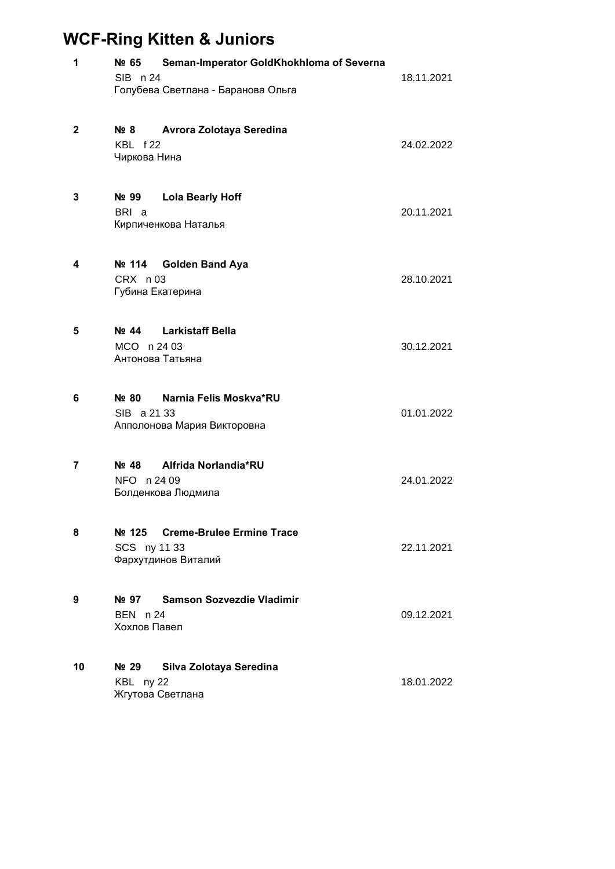## **WCF-Ring Kitten & Juniors**

| 1            | Seman-Imperator GoldKhokhloma of Severna<br>Nº 65<br>SIB n 24<br>Голубева Светлана - Баранова Ольга | 18.11.2021 |
|--------------|-----------------------------------------------------------------------------------------------------|------------|
| $\mathbf{2}$ | $N2$ 8<br>Avrora Zolotaya Seredina<br>KBL f22<br>Чиркова Нина                                       | 24.02.2022 |
| 3            | N <sub>o</sub> 99<br><b>Lola Bearly Hoff</b><br>BRI a<br>Кирпиченкова Наталья                       | 20.11.2021 |
| 4            | Nº 114<br><b>Golden Band Aya</b><br>CRX n03<br>Губина Екатерина                                     | 28.10.2021 |
| 5            | Nº 44 Larkistaff Bella<br>MCO n 24 03<br>Антонова Татьяна                                           | 30.12.2021 |
| 6            | Narnia Felis Moskva*RU<br>Nº 80<br>SIB a 21 33<br>Апполонова Мария Викторовна                       | 01.01.2022 |
| 7            | Alfrida Norlandia*RU<br>Nº 48<br>NFO n 24 09<br>Болденкова Людмила                                  | 24.01.2022 |
| 8            | <b>Creme-Brulee Ermine Trace</b><br>Nº 125<br>SCS ny 11 33<br>Фархутдинов Виталий                   | 22.11.2021 |
| 9            | <b>Samson Sozvezdie Vladimir</b><br>Nº 97<br><b>BEN n 24</b><br>Хохлов Павел                        | 09.12.2021 |
| 10           | Nº 29<br>Silva Zolotaya Seredina<br>KBL ny 22<br>Жгутова Светлана                                   | 18.01.2022 |